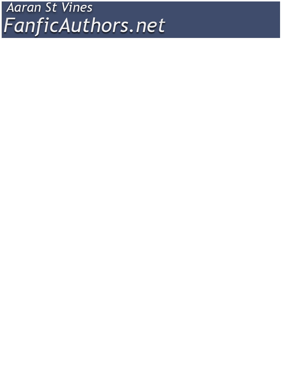# **Aaran St Vines** FanficAuthors.net

- 
- 
- 
- -
	-
	-
	-
- - -
- -
	-
- 
- 
- -
	-
	-
- 
- 
- 
- 
- 
- 
- - -
		-
		-
- -
- 
- 
- - -
		- -
	-
	-
	- -
		-
		-
		-
		-
- 
- 
- 
- 
- 
- 
- -
- -
	- -
- 
- 
- 
- 
- 
- 
- 
- 
- 
- 
- 
- 
- 
- 
- 
- 
- 
- 
- 
- 
- 
- 
- 
- 
- 
- 
-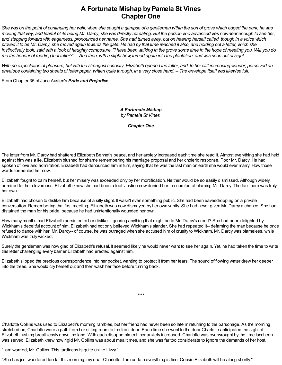## **A Fortunate Mishap byPamela St Vines Chapter One**

She was on the point of continuing her walk, when she caught a glimpse of a gentleman within the sort of grove which edged the park; he was moving that way; and fearful of its being Mr. Darcy, she was directly retreating. But the person who advanced was nownear enough to see her, and stepping forward with eagerness, pronounced her name. She had turned away, but on hearing herself called, though in a voice which proved it to be Mr. Darcy, she moved again towards the gate. He had by that time reached it also, and holding out a letter, which she instinctively took, said with a look of haughty composure, "I have been walking in the grove some time in the hope of meeting you. Will you do me the honour of reading that letter?" -- And then, with a slight bow, turned again into the plantation, and was soon out of sight.

With no expectation of pleasure, but with the strongest curiosity, Elizabeth opened the letter, and, to her still increasing wonder, perceived an envelope containing two sheets of letter paper, written quite through, in a very close hand. -- The envelope itself was likewise full.

From Chapter 35 of Jane Austen's *Pride and Prejudice*

*A Fortunate Mishap by Pamela St Vines*

*Chapter One*

The letter from Mr. Darcy had shattered Elizabeth Bennet's peace, and her anxiety increased each time she read it. Almost everything she had held against him was a lie. Elizabeth blushed for shame remembering his marriage proposal and her choleric response. Poor Mr. Darcy. He had spoken of love and admiration. Elizabeth had denounced him in turn, saying that he was the last man on earth she would ever marry. How those words tormented her now.

Elizabeth fought to calm herself, but her misery was exceeded only by her mortification. Neither would be so easily dismissed. Although widely admired for her cleverness, Elizabeth knew she had been a fool. Justice now denied her the comfort of blaming Mr. Darcy. The fault here was truly her own.

Elizabeth had chosen to dislike him because of a silly slight. It wasn't even something public. She had been eavesdropping on a private conversation. Remembering that first meeting, Elizabeth was now dismayed by her own vanity. She had never given Mr. Darcy a chance. She had distained the man for his pride, because he had unintentionally wounded her own.

How many months had Elizabeth persisted in her dislike-- ignoring anything that might be to Mr. Darcy's credit? She had been delighted by Wickham's deceitful account of him. Elizabeth had not only believed Wickham's slander. She had repeated it-- defaming the man because he once refused to dance with her. Mr. Darcy-- of course, he was outraged when she accused him of cruelty to Wickham. Mr. Darcy was blameless, while Wickham was truly wicked.

Surely the gentleman was now glad of Elizabeth's refusal. It seemed likely he would never want to see her again. Yet, he had taken the time to write this letter challenging every barrier Elizabeth had erected against him.

Elizabeth slipped the precious correspondence into her pocket, wanting to protect it from her tears. The sound of flowing water drew her deeper into the trees. She would cry herself out and then wash her face before turning back.

\*\*\*\*

Charlotte Collins was used to Elizabeth's morning rambles, but her friend had never been so late in returning to the parsonage. As the morning stretched on, Charlotte wore a path from her sitting room to the front door. Each time she went to the door Charlotte anticipated the sight of Elizabeth rushing breathlessly down the lane. With each disappointment, her anxiety increased. Charlotte was overwrought by the time luncheon was served. Elizabeth knew how rigid Mr. Collins was about meal times, and she was far too considerate to ignore the demands of her host.

"I am worried, Mr. Collins. This tardiness is quite unlike Lizzy."

"She has just wandered too far this morning, my dear Charlotte. I am certain everything is fine. Cousin Elizabeth will be along shortly."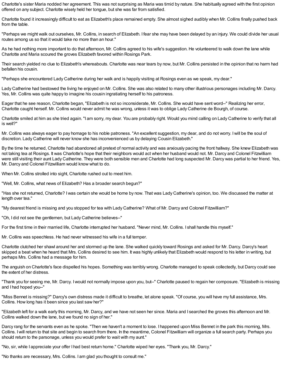Charlotte's sister Maria nodded her agreement. This was not surprising as Maria was timid by nature. She habitually agreed with the first opinion offered on any subject. Charlotte wisely held her tongue, but she was far from satisfied.

Charlotte found it increasingly difficult to eat as Elizabeth's place remained empty. She almost sighed audibly when Mr. Collins finally pushed back from the table.

"Perhaps we might walk out ourselves, Mr. Collins, in search of Elizabeth. I fear she may have been delayed by an injury. We could divide her usual routes among us so that it would take no more than an hour."

As he had nothing more important to do that afternoon, Mr. Collins agreed to his wife's suggestion. He volunteered to walk down the lane while Charlotte and Maria scoured the groves Elizabeth favored within Rosings Park.

Their search yielded no clue to Elizabeth's whereabouts. Charlotte was near tears by now, but Mr. Collins persisted in the opinion that no harm had befallen his cousin.

"Perhaps she encountered Lady Catherine during her walk and is happily visiting at Rosings even as we speak, my dear."

Lady Catherine had bestowed the living he enjoyed on Mr. Collins. She was also related to many other illustrious personages including Mr. Darcy. Yes, Mr. Collins was quite happy to imagine his cousin ingratiating herself to his patroness.

Eager that he see reason, Charlotte began, "Elizabeth is not so inconsiderate, Mr. Collins. She would have sent word--" Realizing her error, Charlotte caught herself. Mr. Collins would never admit he was wrong, unless it was to oblige Lady Catherine de Bourgh, of course.

Charlotte smiled at him as she tried again. "I am sorry, my dear. You are probably right. Would you mind calling on Lady Catherine to verify that all is well?"

Mr. Collins was always eager to pay homage to his noble patroness. "An excellent suggestion, my dear, and do not worry. Iwill be the soul of discretion. Lady Catherine will never know she has inconvenienced us by delaying Cousin Elizabeth."

By the time he returned, Charlotte had abandoned all pretext of normal activity and was anxiously pacing the front hallway. She knew Elizabeth was not taking tea at Rosings. It was Charlotte's hope that their neighbors would act when her husband would not. Mr. Darcy and Colonel Fitzwilliam were still visiting their aunt Lady Catherine. They were both sensible men and Charlotte had long suspected Mr. Darcy was partial to her friend. Yes, Mr. Darcy and Colonel Fitzwilliam would know what to do.

When Mr. Collins strolled into sight, Charlotte rushed out to meet him.

"Well, Mr. Collins, what news of Elizabeth? Has a broader search begun?"

"Has she not returned, Charlotte? Iwas certain she would be home by now. That was Lady Catherine's opinion, too. We discussed the matter at length over tea."

"My dearest friend is missing and you stopped for tea with Lady Catherine? What of Mr. Darcy and Colonel Fitzwilliam?"

"Oh, I did not see the gentlemen, but Lady Catherine believes--"

For the first time in their married life, Charlotte interrupted her husband. "Never mind, Mr. Collins. I shall handle this myself."

Mr. Collins was speechless. He had never witnessed his wife in a full temper.

Charlotte clutched her shawl around her and stormed up the lane. She walked quickly toward Rosings and asked for Mr. Darcy. Darcy's heart skipped a beat when he heard that Mrs. Collins desired to see him. It was highly unlikely that Elizabeth would respond to his letter in writing, but perhaps Mrs. Collins had a message for him.

The anguish on Charlotte's face dispelled his hopes. Something was terribly wrong. Charlotte managed to speak collectedly, but Darcy could see the extent of her distress.

"Thank you for seeing me, Mr. Darcy. Iwould not normally impose upon you, but--" Charlotte paused to regain her composure. "Elizabeth is missing and I had hoped you--"

"Miss Bennet is missing?" Darcy's own distress made it difficult to breathe, let alone speak. "Of course, you will have my full assistance, Mrs. Collins. How long has it been since you last saw her?"

"Elizabeth left for a walk early this morning, Mr. Darcy, and we have not seen her since. Maria and I searched the groves this afternoon and Mr. Collins walked down the lane, but we found no sign of her."

Darcy rang for the servants even as he spoke. "Then we haven't a moment to lose. I happened upon Miss Bennet in the park this morning, Mrs. Collins. Iwill return to that site and begin to search from there. In the meantime, Colonel Fitzwilliam will organize a full search party. Perhaps you should return to the parsonage, unless you would prefer to wait with my aunt."

"No, sir, while I appreciate your offer I had best return home." Charlotte wiped her eyes. "Thank you, Mr. Darcy."

"No thanks are necessary, Mrs. Collins. I am glad you thought to consult me."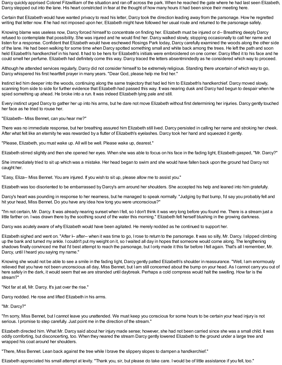Darcy quickly apprised Colonel Fitzwilliam of the situation and ran off across the park. When he reached the gate where he had last seen Elizabeth, Darcy stepped out into the lane. His heart constricted in fear at the thought of how many hours it had been since their meeting here.

Certain that Elizabeth would have wanted privacy to read his letter, Darcy took the direction leading away from the parsonage. How he regretted writing that letter now. If he had not imposed upon her, Elizabeth might have followed her usual route and returned to the parsonage safely.

Knowing blame was useless now, Darcy forced himself to concentrate on finding her. Elizabeth must be injured or d-- Breathing deeply Darcy refused to contemplate that possibility. She was injured and he would find her. Darcy walked slowly, stopping occasionally to call her name and listen for a response. Confident that Elizabeth would have eschewed Rosings Park today, Darcy carefully examined the woods along the other side of the lane. He had been walking for some time when Darcy spotted something small and white back among the trees. He left the path and soon held Elizabeth's handkerchief in his hand. It had to be hers for Elizabeth's initials were embroidered on one corner. Darcy lifted it to his face and he could smell her perfume. Elizabeth had definitely come this way. Darcy traced the letters absentmindedly as he considered which way to proceed.

Although he attended services regularly, Darcy did not consider himself to be extremely religious. Standing there uncertain of which way to go, Darcy whispered his first heartfelt prayer in many years. "Dear God, please help me find her."

Instinct led him deeper into the woods, continuing along the same trajectory that had led him to Elizabeth's handkerchief. Darcy moved slowly, scanning from side to side for further evidence that Elizabeth had passed this way. It was nearing dusk and Darcy had begun to despair when he spied something up ahead. He broke into a run. It was indeed Elizabeth lying pale and still.

Every instinct urged Darcy to gather her up into his arms, but he dare not move Elizabeth without first determining her injuries. Darcy gently touched her face as he tried to rouse her.

"Elizabeth-- Miss Bennet, can you hear me?"

There was no immediate response, but her breathing assured him Elizabeth still lived. Darcy persisted in calling her name and stroking her cheek. After what felt like an eternity he was rewarded by a flutter of Elizabeth's eyelashes. Darcy took her hand and squeezed it gently.

"Please, Elizabeth, you must wake up. All will be well. Please wake up, dearest."

Elizabeth stirred slightly and then she opened her eyes. When she was able to focus on his face in the fading light, Elizabeth gasped, "Mr. Darcy?"

She immediately tried to sit up which was a mistake. Her head began to swim and she would have fallen back upon the ground had Darcy not caught her.

"Easy, Eliza-- Miss Bennet. You are injured. If you wish to sit up, please allow me to assist you."

Elizabeth was too disoriented to be embarrassed by Darcy's arm around her shoulders. She accepted his help and leaned into him gratefully.

Darcy's heart was pounding in response to her nearness, but he managed to speak normally. "Judging by that bump, I'd say you probably fell and hit your head, Miss Bennet. Do you have any idea how long you were unconscious?"

"I'm not certain, Mr. Darcy. It was already nearing sunset when I fell, so I don't think it was very long before you found me. There is a stream just a little farther on. Iwas drawn there by the soothing sound of the water this morning." Elizabeth felt herself blushing in the growing darkness.

Darcy was acutely aware of why Elizabeth would have been agitated. He merely nodded as he continued to support her.

Elizabeth sighed and went on. "After I-- after-- when it was time to go, I rose to return to the parsonage. It was so silly, Mr. Darcy. I slipped climbing up the bank and turned my ankle. I couldn't put my weight on it, so Iwaited all day in hopes that someone would come along. The lengthening shadows finally convinced me that I'd best attempt to reach the parsonage, but I only made it this far before I fell again. That's all Iremember, Mr. Darcy, until I heard you saying my name."

Knowing she would not be able to see a smile in the fading light, Darcy gently patted Elizabeth's shoulder in reassurance. "Well, I am enormously relieved that you have not been unconscious all day, Miss Bennet, but I am still concerned about the bump on your head. As I cannot carry you out of here safely in the dark, it would seem that we are stranded until daybreak. Perhaps a cold compress would halt the swelling. How far is the stream?"

"Not far at all, Mr. Darcy. It's just over the rise."

Darcy nodded. He rose and lifted Elizabeth in his arms.

"Mr. Darcy?"

"I'm sorry, Miss Bennet, but I cannot leave you unattended. We must keep you conscious for some hours to be certain your head injury is not serious. I promise to step carefully. Just point me in the direction of the stream."

Elizabeth directed him. What Mr. Darcy said about her injury made sense; however, she had not been carried since she was a small child. It was oddly comforting, but disconcerting, too. When they neared the stream Darcy gently lowered Elizabeth to the ground under a large tree and wrapped his coat around her shoulders.

"There, Miss Bennet. Lean back against the tree while I brave the slippery slopes to dampen a handkerchief."

Elizabeth appreciated his small attempt at levity. "Thank you, sir, but please do take care. Iwould be of little assistance if you fell, too."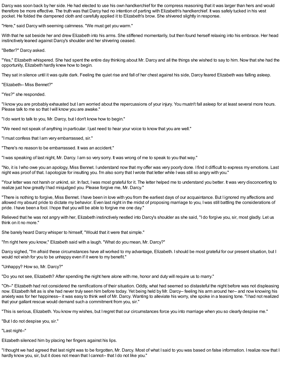Darcy was soon back by her side. He had elected to use his own handkerchief for the compress reasoning that it was larger than hers and would therefore be more effective. The truth was that Darcy had no intention of parting with Elizabeth's handkerchief. It was safely tucked in his vest pocket. He folded the dampened cloth and carefully applied it to Elizabeth's brow. She shivered slightly in response.

"Here," said Darcy with seeming calmness. "We must get you warm."

With that he sat beside her and drew Elizabeth into his arms. She stiffened momentarily, but then found herself relaxing into his embrace. Her head instinctively leaned against Darcy's shoulder and her shivering ceased.

"Better?" Darcy asked.

"Yes," Elizabeth whispered. She had spent the entire day thinking about Mr. Darcy and all the things she wished to say to him. Now that she had the opportunity, Elizabeth hardly knew how to begin.

They sat in silence until it was quite dark. Feeling the quiet rise and fall of her chest against his side, Darcy feared Elizabeth was falling asleep.

"Elizabeth-- Miss Bennet?"

"Yes?" she responded.

"I know you are probably exhausted but I am worried about the repercussions of your injury. You mustn't fall asleep for at least several more hours. Please talk to me so that Iwill know you are awake."

"I do want to talk to you, Mr. Darcy, but I don't know how to begin."

"We need not speak of anything in particular. I just need to hear your voice to know that you are well."

"Imust confess that I am very embarrassed, sir."

"There's no reason to be embarrassed. It was an accident."

"Iwas speaking of last night, Mr. Darcy. I am so very sorry. It was wrong of me to speak to you that way."

"No, it is Iwho owe you an apology, Miss Bennet. I understand now that my offer was very poorly done. I find it difficult to express my emotions. Last night was proof of that. I apologize for insulting you. I'm also sorry that Iwrote that letter while Iwas still so angry with you."

"Your letter was not harsh or unkind, sir. In fact, Iwas most grateful for it. The letter helped me to understand you better. It was very disconcerting to realize just how greatly I had misjudged you. Please forgive me, Mr. Darcy."

"There is nothing to forgive, Miss Bennet. I have been in love with you from the earliest days of our acquaintance. But I ignored my affections and allowed my absurd pride to dictate my behavior. Even last night in the midst of proposing marriage to you, Iwas still battling the considerations of pride. I have been a fool. I hope that you will be able to forgive me one day."

Relieved that he was not angry with her, Elizabeth instinctively nestled into Darcy's shoulder as she said, "I do forgive you, sir, most gladly. Let us think on it no more."

She barely heard Darcy whisper to himself, "Would that it were that simple."

"I'm right here you know," Elizabeth said with a laugh. "What do you mean, Mr. Darcy?"

Darcy sighed, "I'm afraid these circumstances have all worked to my advantage, Elizabeth. I should be most grateful for our present situation, but I would not wish for you to be unhappy even if it were to my benefit."

"Unhappy? How so, Mr. Darcy?"

"Do you not see, Elizabeth? After spending the night here alone with me, honor and duty will require us to marry."

"Oh--" Elizabeth had not considered the ramifications of their situation. Oddly, what had seemed so distasteful the night before was not displeasing now. Elizabeth felt as is she had never truly seen him before today. Yet being held by Mr. Darcy-- feeling his arm around her-- and now knowing his anxiety was for her happiness-- it was easy to think well of Mr. Darcy. Wanting to alleviate his worry, she spoke in a teasing tone. "I had not realized that your gallant rescue would demand such a commitment from you, sir."

"This is serious, Elizabeth. You know my wishes, but Iregret that our circumstances force you into marriage when you so clearly despise me."

"But I do not despise you, sir."

"Last night--"

Elizabeth silenced him by placing her fingers against his lips.

"I thought we had agreed that last night was to be forgotten, Mr. Darcy. Most of what I said to you was based on false information. Irealize now that I hardly know you, sir, but it does not mean that I cannot-- that I do not like you."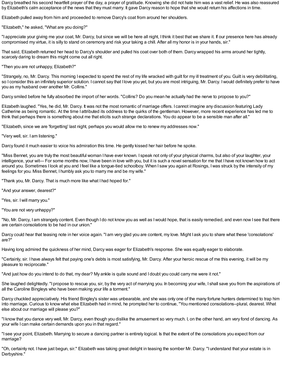Darcy breathed his second heartfelt prayer of the day, a prayer of gratitude. Knowing she did not hate him was a vast relief. He was also reassured by Elizabeth's calm acceptance of the news that they must marry. It gave Darcy reason to hope that she would return his affections in time.

Elizabeth pulled away from him and proceeded to remove Darcy's coat from around her shoulders.

"Elizabeth," he asked, "What are you doing?"

"I appreciate your giving me your coat, Mr. Darcy, but since we will be here all night, I think it best that we share it. If our presence here has already compromised my virtue, it is silly to stand on ceremony and risk your taking a chill. After all my honor is in your hands, sir."

That said, Elizabeth returned her head to Darcy's shoulder and pulled his coat over both of them. Darcy wrapped his arms around her tightly, scarcely daring to dream this might come out all right.

"Then you are not unhappy, Elizabeth?"

"Strangely, no, Mr. Darcy. This morning I expected to spend the rest of my life wracked with guilt for my ill treatment of you. Guilt is very debilitating, so I consider this an infinitely superior solution. I cannot say that I love you yet, but you are most intriguing, Mr. Darcy. I would definitely prefer to have you as my husband over another Mr. Collins."

Darcy smiled before he fully absorbed the import of her words. "Collins? Do you mean he actually had the nerve to propose to you?"

Elizabeth laughed. "Yes, he did, Mr. Darcy. It was not the most romantic of marriage offers. I cannot imagine any discussion featuring Lady Catherine as being romantic. At the time I attributed its oddness to the quirks of the gentleman. However, more recent experience has led me to think that perhaps there is something about me that elicits such strange declarations. You do appear to be a sensible man after all."

"Elizabeth, since we are 'forgetting' last night, perhaps you would allow me to renew my addresses now."

"Very well, sir. I am listening."

Darcy found it much easier to voice his admiration this time. He gently kissed her hair before he spoke.

"Miss Bennet, you are truly the most beautiful woman I have ever known. I speak not only of your physical charms, but also of your laughter, your intelligence, your wit--- For some months now, I have been in love with you, but it is such a novel sensation for me that I have not known how to act around you. Sometimes I look at you and I feel like a tongue-tied schoolboy. When I saw you again at Rosings, Iwas struck by the intensity of my feelings for you. Miss Bennet, I humbly ask you to marry me and be my wife."

"Thank you, Mr. Darcy. That is much more like what I had hoped for."

"And your answer, dearest?"

"Yes, sir. Iwill marry you."

"You are not very unhappy?"

"No, Mr. Darcy, I am strangely content. Even though I do not know you as well as Iwould hope, that is easily remedied, and even now I see that there are certain consolations to be had in our union."

Darcy could hear that teasing note in her voice again. "I am very glad you are content, my love. Might I ask you to share what these 'consolations' are?"

Having long admired the quickness of her mind, Darcy was eager for Elizabeth's response. She was equally eager to elaborate.

"Certainly, sir. I have always felt that paying one's debts is most satisfying, Mr. Darcy. After your heroic rescue of me this evening, it will be my pleasure to reciprocate."

"And just how do you intend to do that, my dear? My ankle is quite sound and I doubt you could carry me were it not."

She laughed delightedly. "I propose to rescue you, sir, by the very act of marrying you. In becoming your wife, I shall save you from the aspirations of all the Caroline Bingleys who have been making your life a torment."

Darcy chuckled appreciatively. His friend Bingley's sister was unbearable, and she was only one of the many fortune hunters determined to trap him into marriage. Curious to know what else Elizabeth had in mind, he prompted her to continue, "You mentioned consolations--plural, dearest. What else about our marriage will please you?"

"I know that you dance very well, Mr. Darcy, even though you dislike the amusement so very much. I, on the other hand, am very fond of dancing. As your wife I can make certain demands upon you in that regard."

"I see your point, Elizabeth. Marrying to secure a dancing partner is entirely logical. Is that the extent of the consolations you expect from our marriage?

"Oh, certainly not. I have just begun, sir." Elizabeth was taking great delight in teasing the somber Mr. Darcy. "I understand that your estate is in Derbyshire."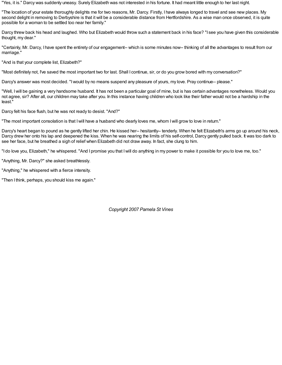"Yes, it is." Darcy was suddenly uneasy. Surely Elizabeth was not interested in his fortune. It had meant little enough to her last night.

"The location of your estate thoroughly delights me for two reasons, Mr. Darcy. Firstly, I have always longed to travel and see new places. My second delight in removing to Derbyshire is that it will be a considerable distance from Hertfordshire. As a wise man once observed, it is quite possible for a woman to be settled too near her family."

Darcy threw back his head and laughed. Who but Elizabeth would throw such a statement back in his face? "I see you have given this considerable thought, my dear."

"Certainly, Mr. Darcy, I have spent the entirety of our engagement-- which is some minutes now-- thinking of all the advantages to result from our marriage."

"And is that your complete list, Elizabeth?"

"Most definitely not, I've saved the most important two for last. Shall I continue, sir, or do you grow bored with my conversation?"

Darcy's answer was most decided. "I would by no means suspend any pleasure of yours, my love. Pray continue-- please."

"Well, Iwill be gaining a very handsome husband. It has not been a particular goal of mine, but is has certain advantages nonetheless. Would you not agree, sir? After all, our children may take after you. In this instance having children who look like their father would not be a hardship in the least."

Darcy felt his face flush, but he was not ready to desist. "And?"

"The most important consolation is that Iwill have a husband who dearly loves me, whom Iwill grow to love in return."

Darcy's heart began to pound as he gently lifted her chin. He kissed her-- hesitantly-- tenderly. When he felt Elizabeth's arms go up around his neck, Darcy drew her onto his lap and deepened the kiss. When he was nearing the limits of his self-control, Darcy gently pulled back. It was too dark to see her face, but he breathed a sigh of relief when Elizabeth did not draw away. In fact, she clung to him.

"I do love you, Elizabeth," he whispered. "And I promise you that Iwill do anything in my power to make it possible for you to love me, too."

"Anything, Mr. Darcy?" she asked breathlessly.

"Anything," he whispered with a fierce intensity.

"Then I think, perhaps, you should kiss me again."

*Copyright 2007 Pamela St Vines*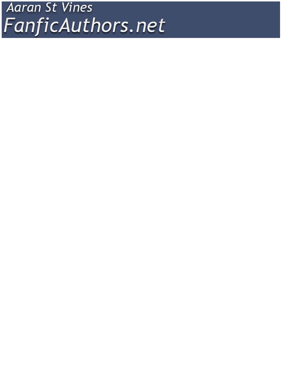# **Aaran St Vines** FanficAuthors.net

- 
- 
- 
- -
	-
	-
	-
- - -
- -
	-
- 
- 
- -
	-
	-
- 
- 
- 
- 
- 
- 
- - -
		-
		-
- -
- 
- 
- - -
		- -
	-
	-
	- -
		-
		-
		-
		-
- 
- 
- 
- 
- 
- 
- -
- -
	- -
- 
- 
- 
- 
- 
- 
- 
- 
- 
- 
- 
- 
- 
- 
- 
- 
- 
- 
- 
- 
- 
- 
- 
- 
- 
- 
-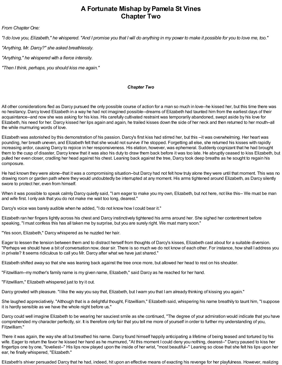### **A Fortunate Mishap byPamela St Vines Chapter Two**

*From Chapter One:*

"I do love you, Elizabeth," he whispered. "And I promise you that I will do anything in my power to make it possible for you to love me, too."

*"Anything, Mr. Darcy?" she asked breathlessly.*

*"Anything," he whispered with a fierce intensity.*

*"Then I think, perhaps, you should kiss me again."*

#### *Chapter Two*

All other considerations fled as Darcy pursued the only possible course of action for a man so much in love--he kissed her, but this time there was no hesitancy. Darcy loved Elizabeth in a way he had not imagined possible--dreams of Elizabeth had taunted him from the earliest days of their acquaintance--and now she was asking for his kiss. His carefully cultivated restraint was temporarily abandoned, swept aside by his love for Elizabeth, his need for her. Darcy kissed her lips again and again, he trailed kisses down the side of her neck and then returned to her mouth--all the while murmuring words of love.

Elizabeth was astonished by this demonstration of his passion. Darcy's first kiss had stirred her, but this --it was overwhelming. Her heart was pounding, her breath uneven, and Elizabeth felt that she would not survive if he stopped. Forgetting all else, she returned his kisses with rapidly increasing ardor, causing Darcy to rejoice in her responsiveness. His elation, however, was ephemeral. Suddenly cognizant that he had brought them to the cusp of disaster, Darcy knew that it was also his duty to draw them back before it was too late. He abruptly ceased to kiss Elizabeth, but pulled her even closer, cradling her head against his chest. Leaning back against the tree, Darcy took deep breaths as he sought to regain his composure.

He had known they were alone--that it was a compromising situation--but Darcy had not felt how truly alone they were until that moment. This was no drawing room or garden path where they would undoubtedly be interrupted at any moment. His arms tightened around Elizabeth, as Darcy silently swore to protect her, even from himself.

When it was possible to speak calmly Darcy quietly said, "I am eager to make you my own, Elizabeth, but not here, not like this-- We must be man and wife first. I only ask that you do not make me wait too long, dearest."

Darcy's voice was barely audible when he added, "I do not know how I could bear it."

Elizabeth ran her fingers lightly across his chest and Darcy instinctively tightened his arms around her. She sighed her contentment before speaking, "Imust confess this has all taken me by surprise, but you are surely right. We must marry soon."

"Yes soon, Elizabeth," Darcy whispered as he nuzzled her hair.

Eager to lessen the tension between them and to distract herself from thoughts of Darcy's kisses, Elizabeth cast about for a suitable diversion. "Perhaps we should have a bit of conversation now, dear sir. There is so much we do not know of each other. For instance, how shall I address you in private? It seems ridiculous to call you Mr. Darcy after what we have just shared."

Elizabeth shifted away so that she was leaning back against the tree once more, but allowed her head to rest on his shoulder.

"Fitzwilliam--my mother's family name is my given name, Elizabeth," said Darcy as he reached for her hand.

"Fitzwilliam," Elizabeth whispered just to try it out.

Darcy growled with pleasure. "I like the way you say that, Elizabeth, but Iwarn you that I am already thinking of kissing you again."

She laughed appreciatively. "Although that is a delightful thought, Fitzwilliam," Elizabeth said, whispering his name breathily to taunt him, "I suppose it is hardly sensible as we have the whole night before us."

Darcy could well imagine Elizabeth to be wearing her sauciest smile as she continued, "The degree of your admiration would indicate that you have comprehended my character perfectly, sir. It is therefore only fair that you tell me more of yourself in order to further my understanding of you, Fitzwilliam."

There it was again, the way she all but breathed his name. Darcy found himself happily anticipating a lifetime of being teased and tortured by his wife. Eager to return the favor he kissed her hand as he murmured, "At this moment I could deny you nothing, dearest--" Darcy paused to kiss her fingertips one by one, "loveliest--" His lips now played upon the inside of her wrist, "most beautiful--" Leaning so close that she felt his lips upon her ear, he finally whispered, "Elizabeth."

Elizabeth's shiver persuaded Darcy that he had, indeed, hit upon an effective means of exacting his revenge for her playfulness. However, realizing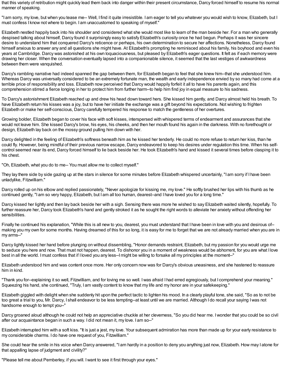that this variety of retribution might quickly lead them back into danger within their present circumstance, Darcy forced himself to resume his normal manner of speaking.

"I am sorry, my love, but when you tease me-- Well, I find it quite irresistible. I am eager to tell you whatever you would wish to know, Elizabeth, but I must confess I know not where to begin. I am unaccustomed to speaking of myself."

Elizabeth nestled happily back into his shoulder and considered what she would most like to learn of the man beside her. For a man who generally despised talking about himself, Darcy found it surprisingly easy to satisfy Elizabeth's curiosity once he had begun. Perhaps it was her sincere desire to understand him that conquered Darcy's reticence or perhaps, his own determination to secure her affections. Nonetheless, Darcy found himself anxious to answer any and all questions she might have. At Elizabeth's prompting he reminisced about his family, his boyhood and even his years at Cambridge. Darcy was astonished at his own loquaciousness, but pleased by Elizabeth's eager questions. It felt as if each memory were drawing her closer. When the conversation eventually lapsed into a companionable silence, it seemed that the last vestiges of awkwardness between them were vanquished.

Darcy's rambling narrative had indeed spanned the gap between them, for Elizabeth began to feel that she knew him--that she understood him. Whereas Darcy was universally considered to be an extremely fortunate man, the wealth and early independence envied by so many had come at a terrible price of responsibility and loss. Elizabeth now perceived that Darcy would happily forfeit it all to have his parents again, and this comprehension stirred a fierce longing in her to protect him from further harm--to help him find joy in equal measure to his sadness.

To Darcy's astonishment Elizabeth reached up and drew his head down toward hers. She kissed him gently, and Darcy almost held his breath. To have Elizabeth return his kisses was a joy, but to have her initiate the exchange was a gift beyond his expectations. Not wishing to frighten Elizabeth or make her self-conscious, Darcy carefully tempered his response to match the gentleness of her overtures.

Growing bolder, Elizabeth began to cover his face with soft kisses, interspersed with whispered terms of endearment and assurances that she would not leave him. She kissed Darcy's brow, his eyes, his cheeks, and then her mouth found his again in the darkness. With no forethought or design, Elizabeth lay back on the mossy ground pulling him down with her.

Darcy delighted in the feeling of Elizabeth's softness beneath him as he kissed her tenderly. He could no more refuse to return her kiss, than he could fly. However, being mindful of their previous narrow escape, Darcy endeavored to keep his desires under regulation this time. When his selfcontrol seemed near its end, Darcy forced himself to lie back beside her. He took Elizabeth's hand and kissed it several times before clasping it to his chest.

"Oh, Elizabeth, what you do to me-- You must allow me to collect myself."

They lay there side by side gazing up at the stars in silence for some minutes before Elizabeth whispered uncertainly, "I am sorry if I have been unladylike, Fitzwilliam."

Darcy rolled up on his elbow and replied passionately, "Never apologize for kissing me, my love." He softly brushed her lips with his thumb as he continued gently, "I am so very happy, Elizabeth, but I am all too human, dearest--and I have loved you for a long time."

Darcy kissed her lightly and then lay back beside her with a sigh. Sensing there was more he wished to say Elizabeth waited silently, hopefully. To further reassure her, Darcy took Elizabeth's hand and gently stroked it as he sought the right words to alleviate her anxiety without offending her sensibilities.

Finally he continued his explanation, "While this is all new to you, dearest, you must understand that I have been in love with you and desirous of- making you my own for some months. Having dreamed of this for so long, it is easy for me to forget that we are not already married when you are in my arms--"

Darcy lightly kissed her hand before plunging on without dissembling, "Honor demands restraint, Elizabeth, but my passion for you would urge me to seduce you here and now. That must not happen, dearest. To dishonor you in a moment of weakness would be abhorrent, for you are what I love best in all the world. Imust confess that if I loved you any less--Imight be willing to forsake all my principles at the moment--"

Elizabeth understood him and was content once more. Her only concern now was for Darcy's obvious uneasiness, and she hastened to reassure him in kind.

"Thank you for--explaining it so well, Fitzwilliam, and for loving me so well. Iwas afraid I had erred egregiously, but I comprehend your meaning." Squeezing his hand, she continued, "Truly, I am vastly content to know that my life and my honor are in your safekeeping."

Elizabeth giggled with delight when she suddenly hit upon the perfect tactic to lighten his mood. In a clearly playful tone, she said, "So as to not be too great a trial to you, Mr. Darcy, I shall endeavor to be less tempting--at least until we are married. Although I do recall your saying Iwas not handsome enough to tempt you--"

Darcy groaned aloud although he could not help an appreciative chuckle at her cleverness, "So you did hear me. Iwonder that you could be so civil after our acquaintance began in such a way. I did not mean it, my love. I am so--"

Elizabeth interrupted him with a soft kiss. "It is just a jest, my love. Your subsequent admiration has more than made up for your early resistance to my considerable charms. I do have one request of you, Fitzwilliam."

She could hear the smile in his voice when Darcy answered, "I am hardly in a position to deny you anything just now, Elizabeth. How may I atone for that appalling lapse of judgment and civility?"

"Please tell me about Pemberley, if you will. Iwant to see it first through your eyes."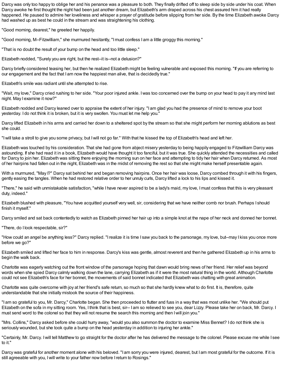Darcy was only too happy to oblige her and his penance was a pleasure to both. They finally drifted off to sleep side by side under his coat. When Darcy awoke he first thought the night had been just another dream, but Elizabeth's arm draped across his chest assured him it had really happened. He paused to admire her loveliness and whisper a prayer of gratitude before slipping from her side. By the time Elizabeth awoke Darcy had washed up as best he could in the stream and was straightening his clothing.

"Good morning, dearest," he greeted her happily.

"Good morning, M--Fitzwilliam," she murmured hesitantly, "Imust confess I am a little groggy this morning."

"That is no doubt the result of your bump on the head and too little sleep."

Elizabeth nodded, "Surely you are right, but the rest--it is--not a delusion?"

Darcy briefly considered teasing her, but then he realized Elizabeth might be feeling vulnerable and exposed this morning. "If you are referring to our engagement and the fact that I am now the happiest man alive, that is decidedly true."

Elizabeth's smile was radiant until she attempted to rise.

"Wait, my love," Darcy cried rushing to her side. "Your poor injured ankle. Iwas too concerned over the bump on your head to pay it any mind last night. May I examine it now?"

Elizabeth nodded and Darcy leaned over to appraise the extent of her injury. "I am glad you had the presence of mind to remove your boot yesterday. I do not think it is broken, but it is very swollen. You must let me help you."

Darcy lifted Elizabeth in his arms and carried her down to a sheltered spot by the stream so that she might perform her morning ablutions as best she could.

"Iwill take a stroll to give you some privacy, but Iwill not go far." With that he kissed the top of Elizabeth's head and left her.

Elizabeth was touched by his consideration. That she had gone from abject misery yesterday to being happily engaged to Fitzwilliam Darcy was astounding. If she had read it in a book, Elizabeth would have thought it too fanciful, but it was true. She quickly attended the necessities and called for Darcy to join her. Elizabeth was sitting there enjoying the morning sun on her face and attempting to tidy her hair when Darcy returned. As most of her hairpins had fallen out in the night, Elizabeth was in the midst of removing the rest so that she might make herself presentable again.

With a murmured, "May I?" Darcy sat behind her and began removing hairpins. Once her hair was loose, Darcy combed through it with his fingers, gently easing the tangles. When he had restored relative order to her unruly curls, Darcy lifted a lock to his lips and kissed it.

"There," he said with unmistakable satisfaction, "while I have never aspired to be a lady's maid, my love, Imust confess that this is very pleasant duty, indeed."

Elizabeth blushed with pleasure, "You have acquitted yourself very well, sir, considering that we have neither comb nor brush. Perhaps I should finish it myself."

Darcy smiled and sat back contentedly to watch as Elizabeth pinned her hair up into a simple knot at the nape of her neck and donned her bonnet.

"There, do I look respectable, sir?"

"How could an angel be anything less?" Darcy replied. "Irealize it is time I saw you back to the parsonage, my love, but--may I kiss you once more before we go?"

Elizabeth smiled and lifted her face to him in response. Darcy's kiss was gentle, almost reverent and then he gathered Elizabeth up in his arms to begin the walk back.

Charlotte was eagerly watching out the front window of the parsonage hoping that dawn would bring news of her friend. Her relief was beyond words when she spied Darcy calmly walking down the lane, carrying Elizabeth as if it were the most natural thing in the world. Although Charlotte could not see Elizabeth's face for her bonnet, the movements of said bonnet indicated that Elizabeth was chatting with great animation.

Charlotte was quite overcome with joy at her friend's safe return, so much so that she hardly knew what to do first. It is, therefore, quite understandable that she initially mistook the source of their happiness.

"I am so grateful to you, Mr. Darcy," Charlotte began. She then proceeded to flutter and fuss in a way that was most unlike her. "We should put Elizabeth on the sofa in my sitting room. Yes, I think that is best, sir-- I am so relieved to see you, dear Lizzy. Please take her on back, Mr. Darcy. I must send word to the colonel so that they will not resume the search this morning and then Iwill join you."

"Mrs. Collins," Darcy asked before she could hurry away, "would you also summon the doctor to examine Miss Bennet? I do not think she is seriously wounded, but she took quite a bump on the head yesterday in addition to injuring her ankle."

"Certainly, Mr. Darcy. Iwill tell Matthew to go straight for the doctor after he has delivered the message to the colonel. Please excuse me while I see to it."

Darcy was grateful for another moment alone with his beloved. "I am sorry you were injured, dearest, but I am most grateful for the outcome. If it is still agreeable with you, Iwill write to your father now before Ireturn to Rosings."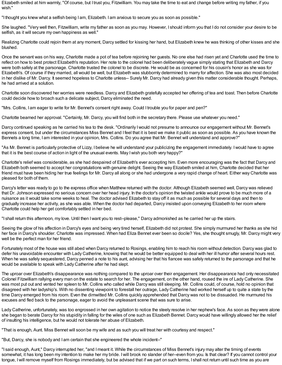Elizabeth smiled at him warmly, "Of course, but I trust you, Fitzwilliam. You may take the time to eat and change before writing my father, if you wish."

"I thought you knew what a selfish being I am, Elizabeth. I am anxious to secure you as soon as possible."

She laughed. "Very well then, Fitzwilliam, write my father as soon as you may. However, I should inform you that I do not consider your desire to be selfish, as it will secure my own happiness as well."

Realizing Charlotte could rejoin them at any moment, Darcy settled for kissing her hand, but Elizabeth knew he was thinking of other kisses and she blushed.

Once the servant was on his way, Charlotte made a pot of tea before rejoining her guests. No one else had risen yet and Charlotte used the time to reflect on how to best protect Elizabeth's reputation. Her note to the colonel had been deliberately vague simply stating that Elizabeth and Darcy were both safely at the parsonage. Charlotte trusted the colonel to be discrete. He would be as concerned for his cousin's honor as she was for Elizabeth's. Of course if they married, all would be well, but Elizabeth was stubbornly determined to marry for affection. She was also most decided in her dislike of Mr. Darcy. It seemed hopeless to Charlotte unless-- Surely Mr. Darcy had already given this matter considerable thought. Perhaps, he had arrived at a solution.

Charlotte soon discovered her worries were needless. Darcy and Elizabeth gratefully accepted her offering of tea and toast. Then before Charlotte could decide how to broach such a delicate subject, Darcy eliminated the need.

"Mrs. Collins, I am eager to write for Mr. Bennet's consent right away. Could I trouble you for paper and pen?"

Charlotte beamed her approval. "Certainly, Mr. Darcy, you will find both in the secretary there. Please use whatever you need."

Darcy continued speaking as he carried his tea to the desk. "Ordinarily Iwould not presume to announce our engagement without Mr. Bennet's express consent, but under the circumstances Miss Bennet and I feel that it is best we make it public as soon as possible. As you have known the Bennets a long time, I am interested in your opinion, Mrs. Collins. Do you agree that Mr. Bennet will understand and approve?"

"As Mr. Bennet is particularly protective of Lizzy, I believe he will understand your publicizing the engagement immediately. Iwould have to agree that it is the best course of action in light of the unusual events. May Iwish you both very happy?"

Charlotte's relief was considerable, as she had despaired of Elizabeth's ever accepting him. Even more encouraging was the fact that Darcy and Elizabeth both seemed to accept her congratulations with genuine delight. Seeing the way Elizabeth smiled at him, Charlotte decided that her friend must have been hiding her true feelings for Mr. Darcy all along or she had undergone a very rapid change of heart. Either way Charlotte was pleased for both of them.

Darcy's letter was ready to go to the express office when Matthew returned with the doctor. Although Elizabeth seemed well, Darcy was relieved that Dr. Johnson expressed no serious concern over her head injury. In the doctor's opinion the twisted ankle would prove to be much more of a nuisance as it would take some weeks to heal. The doctor advised Elizabeth to stay off it as much as possible for several days and then to gradually increase her activity, as she was able. When the doctor had departed, Darcy insisted upon conveying Elizabeth to her room where Charlotte could help her get comfortably settled in her bed.

"I shall return this afternoon, my love. Until then Iwant you to rest--please," Darcy admonished as he carried her up the stairs.

Seeing the glow of his affection in Darcy's eyes and being very tired herself, Elizabeth did not protest. She simply murmured her thanks as she hid her face in Darcy's shoulder. Charlotte was impressed. When had Eliza Bennet ever been so docile? Yes, she thought smugly, Mr. Darcy might very well be the perfect man for her friend.

Fortunately most of the house was still abed when Darcy returned to Rosings, enabling him to reach his room without detection. Darcy was glad to defer his unavoidable encounter with Lady Catherine, knowing that he would be better equipped to deal with her ill humor after several hours rest. When he was safely sequestered, Darcy penned a note to his aunt, advising her that his fiancee was safely returned to the parsonage and that he would be available to speak with Lady Catherine after he had slept.

The uproar over Elizabeth's disappearance was nothing compared to the uproar over their engagement. Her disappearance had only necessitated Colonel Fitzwilliam rallying every man on the estate to search for her. The engagement, on the other hand, roused the ire of Lady Catherine. She was most put out and vented her spleen to Mr. Collins who called while Darcy was still sleeping. Mr. Collins could, of course, hold no opinion that disagreed with her ladyship's. With no dissenting viewpoint to forestall her outrage, Lady Catherine had worked herself up to quite a state by the time Darcy emerged from his room. Even the dimwitted Mr. Collins quickly apprehended that Darcy was not to be dissuaded. He murmured his excuses and fled back to the parsonage, eager to avoid the unpleasant scene that was sure to arise.

Lady Catherine, unfortunately, was too engrossed in her own agitation to notice the steely resolve in her nephew's face. As soon as they were alone she began to berate Darcy for his stupidity in falling for the wiles of one such as Elizabeth Bennet. Darcy would have willingly allowed her the relief of insulting his intelligence, but he would not tolerate her abuse of Elizabeth.

"That is enough, Aunt. Miss Bennet will soon be my wife and as such you will treat her with courtesy and respect."

"But, Darcy, she is nobody and I am certain that she engineered the whole incident--"

"I said enough, Aunt," Darcy interrupted her, "and Imeant it. While the circumstances of Miss Bennet's injury may alter the timing of events somewhat, it has long been my intention to make her my bride. I will brook no slander of her--even from you. Is that clear? If you cannot control your tongue, Iwill remove myself from Rosings immediately, but be advised that if we part on such terms, I shall not return until such time as you are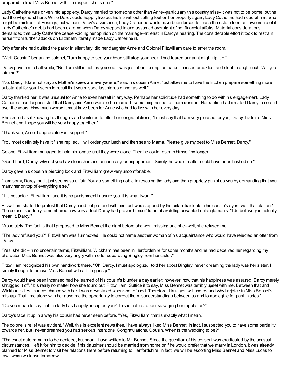prepared to treat Miss Bennet with the respect she is due."

Lady Catherine was driven into apoplexy. Darcy married to someone other than Anne--particularly this country miss--it was not to be borne, but he had the whip hand here. While Darcy could happily live out his life without setting foot on her property again, Lady Catherine had need of him. She might be mistress of Rosings, but without Darcy's assistance, Lady Catherine would have been forced to lease the estate to retain ownership of it. Lady Catherine's debts had been extreme when Darcy stepped in and assumed oversight of her financial affairs. Material considerations demanded that Lady Catherine cease voicing her opinion on the marriage--at least in Darcy's hearing. The considerable effort it took to restrain herself from further attacks on Elizabeth literally made Lady Catherine ill.

Only after she had quitted the parlor in silent fury, did her daughter Anne and Colonel Fitzwilliam dare to enter the room.

"Well, Cousin," began the colonel, "I am happy to see your head still atop your neck. I had feared our aunt might rip it off."

Darcy gave him a half smile, "No, I am still intact, as you see. Iwas just about to ring for tea as Imissed breakfast and slept through lunch. Will you join me?"

"No, Darcy, I dare not stay as Mother's spies are everywhere," said his cousin Anne, "but allow me to have the kitchen prepare something more substantial for you. I seem to recall that you missed last night's dinner as well."

Darcy thanked her. It was unusual for Anne to exert herself in any way. Perhaps her solicitude had something to do with his engagement. Lady Catherine had long insisted that Darcy and Anne were to be married--something neither of them desired. Her ranting had irritated Darcy to no end over the years. How much worse it must have been for Anne who had to live with her every day.

She smiled as if knowing his thoughts and ventured to offer her congratulations, "Imust say that I am very pleased for you, Darcy. I admire Miss Bennet and I hope you will be very happy together."

"Thank you, Anne. I appreciate your support."

"You most definitely have it," she replied. "Iwill order your lunch and then see to Mama. Please give my best to Miss Bennet, Darcy."

Colonel Fitzwilliam managed to hold his tongue until they were alone. Then he could restrain himself no longer.

"Good Lord, Darcy, why did you have to rush in and announce your engagement. Surely the whole matter could have been hushed up."

Darcy gave his cousin a piercing look and Fitzwilliam grew very uncomfortable.

"I am sorry, Darcy, but it just seems so unfair. You do something noble in rescuing the lady and then propriety punishes you by demanding that you marry her on top of everything else."

"It is not unfair, Fitzwilliam, and it is no punishment I assure you. It is what Iwant."

Fitzwilliam started to protest that Darcy need not pretend with him, but was stopped by the unfamiliar look in his cousin's eyes--was that elation? The colonel suddenly remembered how very adept Darcy had proven himself to be at avoiding unwanted entanglements. "I do believe you actually mean it, Darcy."

"Absolutely. The fact is that I proposed to Miss Bennet the night before she went missing and she--well, she refused me."

"The lady refused you?" Fitzwilliam was flummoxed. He could not name another woman of his acquaintance who would have rejected an offer from Darcy.

"Yes, she did--in no uncertain terms, Fitzwilliam. Wickham has been in Hertfordshire for some months and he had deceived her regarding my character. Miss Bennet was also very angry with me for separating Bingley from her sister."

Fitzwilliam recognized his own handiwork there. "Oh, Darcy, Imust apologize. I told her about Bingley, never dreaming the lady was her sister. I simply thought to amuse Miss Bennet with a little gossip."

Darcy would have been incensed had he learned of his cousin's blunder a day earlier; however, now that his happiness was assured, Darcy merely shrugged it off. "It is really no matter how she found out, Fitzwilliam. Suffice it to say, Miss Bennet was terribly upset with me. Between that and Wickham's lies I had no chance with her. Iwas devastated when she refused. Therefore, I trust you will understand why Irejoice in Miss Bennet's mishap. That time alone with her gave me the opportunity to correct the misunderstandings between us and to apologize for past injuries."

"Do you mean to say that the lady has happily accepted you? This is not just about salvaging her reputation?"

Darcy's face lit up in a way his cousin had never seen before. "Yes, Fitzwilliam, that is exactly what Imean."

The colonel's relief was evident. "Well, this is excellent news then. I have always liked Miss Bennet. In fact, I suspected you to have some partiality towards her, but I never dreamed you had serious intentions. Congratulations, Cousin. When is the wedding to be?"

"The exact date remains to be decided, but soon. I have written to Mr. Bennet. Since the question of his consent was eradicated by the unusual circumstances, I left it for him to decide if his daughter should be married from home or if he would prefer that we marry in London. It was already planned for Miss Bennet to visit her relations there before returning to Hertfordshire. In fact, we will be escorting Miss Bennet and Miss Lucas to town when we leave tomorrow."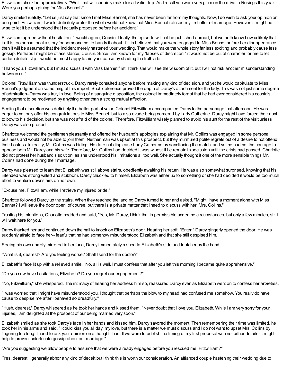Fitzwilliam chuckled appreciatively. "Well, that will certainly make for a livelier trip. As I recall you were very glum on the drive to Rosings this year. Were you perhaps pining for Miss Bennet?"

Darcy smiled ruefully. "Let us just say that since Imet Miss Bennet, she has never been far from my thoughts. Now, I do wish to ask your opinion on one point, Fitzwilliam. Iwould definitely prefer the whole world not know that Miss Bennet refused my first offer of marriage. However, it might be wise to let it be understood that I actually proposed before her accident."

Fitzwilliam agreed without hesitation. "Iwould agree, Cousin. Ideally, the episode will not be published abroad, but we both know how unlikely that is. It is too sensational a story for someone not to bandy it about. If it is believed that you were engaged to Miss Bennet before her disappearance, then it will be assumed that the incident merely hastened your wedding. That would make the whole story far less exciting and probably cause less gossip. Perhaps Imight be of assistance, Cousin. Since I am known for my "lapses of discretion," it would not be out of character for me to let certain details slip. Iwould be most happy to aid your cause by shading the truth a bit."

"Thank you, Fitzwilliam, but Imust discuss it with Miss Bennet first. I think she will see the wisdom of it, but Iwill not risk another misunderstanding between us."

Colonel Fitzwilliam was thunderstruck. Darcy rarely consulted anyone before making any kind of decision, and yet he would capitulate to Miss Bennet's judgment on something of this import. Such deference proved the depth of Darcy's attachment for the lady. This was not just some degree of admiration--Darcy was truly in love. Being of a sanguine disposition, the colonel immediately forgot that he had ever considered his cousin's engagement to be motivated by anything other than a strong mutual affection.

Feeling that discretion was definitely the better part of valor, Colonel Fitzwilliam accompanied Darcy to the parsonage that afternoon. He was eager to not only offer his congratulations to Miss Bennet, but to also evade being cornered by Lady Catherine. Darcy might have forced their aunt to bow to his decision, but she was not afraid of the colonel. Therefore, Fitzwilliam wisely planned to avoid his aunt for the rest of the visit unless Darcy was also present.

Charlotte welcomed the gentlemen pleasantly and offered her husband's apologies explaining that Mr. Collins was engaged in some personal business and would not be able to join them. Neither man was upset at this prospect, but they murmured polite regrets out of a desire to not offend their hostess. In reality, Mr. Collins was hiding. He dare not displease Lady Catherine by sanctioning the match, and yet he had not the courage to oppose both Mr. Darcy and his wife. Therefore, Mr. Collins had decided it was wisest if he remain in seclusion until the crisis had passed. Charlotte did not protest her husband's solution, as she understood his limitations all too well. She actually thought it one of the more sensible things Mr. Collins had done during their marriage.

Darcy was pleased to learn that Elizabeth was still above stairs, obediently awaiting his return. He was also somewhat surprised, knowing that his intended was strong willed and stubborn. Darcy chuckled to himself. Elizabeth was either up to something or she had decided it would be too much effort to venture downstairs on her own.

"Excuse me, Fitzwilliam, while Iretrieve my injured bride."

Charlotte followed Darcy up the stairs. When they reached the landing Darcy turned to her and asked, "Might I have a moment alone with Miss Bennet? Iwill leave the door open, of course, but there is a private matter that I need to discuss with her, Mrs. Collins."

Trusting his intentions, Charlotte nodded and said, "Yes, Mr. Darcy, I think that is permissible under the circumstances, but only a few minutes, sir. I will wait here for you."

Darcy thanked her and continued down the hall to knock on Elizabeth's door. Hearing her soft, "Enter," Darcy gingerly opened the door. He was suddenly afraid to face her-- fearful that he had somehow misunderstood Elizabeth and that she still despised him.

Seeing his own anxiety mirrored in her face, Darcy immediately rushed to Elizabeth's side and took her by the hand.

"What is it, dearest? Are you feeling worse? Shall I send for the doctor?"

Elizabeth's face lit up with a relieved smile. "No, all is well. Imust confess that after you left this morning I became quite apprehensive."

"Do you now have hesitations, Elizabeth? Do you regret our engagement?"

"No, Fitzwilliam," she whispered. The intimacy of hearing her address him so, reassured Darcy even as Elizabeth went on to confess her anxieties.

"Iwas worried that Imight have misunderstood you. I thought that perhaps the blow to my head had confused me somehow. You really do have cause to despise me after I behaved so dreadfully."

"Hush, dearest," Darcy whispered as he took her hands and kissed them. "Never doubt that I love you, Elizabeth. While I am very sorry for your injuries, I am delighted at the prospect of our being married very soon."

Elizabeth smiled as she took Darcy's face in her hands and kissed him. Darcy savored the moment. Then remembering their time was limited, he took her in his arms and said, "I could kiss you all day, my love, but there is a matter we must discuss and I do not want to upset Mrs. Collins by lingering too long. I need to ask your opinion on a thought I had. If we were to publish the timing of my first proposal with no further details, it might help to prevent unfortunate gossip about our marriage."

"Are you suggesting we allow people to assume that we were already engaged before you rescued me, Fitzwilliam?"

"Yes, dearest. I generally abhor any kind of deceit but I think this is worth our consideration. An affianced couple hastening their wedding due to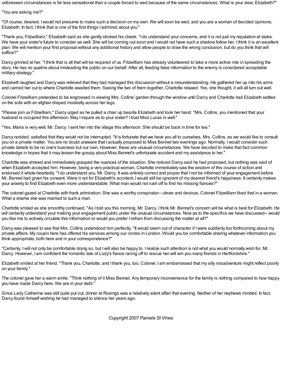unforeseen circumstances is far less sensational than a couple forced to wed because of the same circumstances. What is your view, Elizabeth?"

"You are asking me?"

"Of course, dearest. Iwould not presume to make such a decision on my own. We will soon be wed, and you are a woman of decided opinions, Elizabeth. In fact, I think that is one of the first things I admired about you."

"Thank you, Fitzwilliam," Elizabeth said as she gently stroked his cheek. "I do understand your concerns, and it is not just my reputation at stake. We have your sister's future to consider as well. She will be coming out soon and I would not have such a shadow follow her. I think it is an excellent plan. We will mention your first proposal without any additional history and allow people to draw the wrong conclusion, but do you think that will suffice?"

Darcy grinned at her. "I think that is all that will be required of us. Fitzwilliam has already volunteered to take a more active role in spreading the story. He has no qualms about misleading the public on our behalf. After all, feeding false information to the enemy is considered acceptable military strategy."

Elizabeth laughed and Darcy was relieved that they had managed this discussion without a misunderstanding. He gathered her up into his arms and carried her out to where Charlotte awaited them. Seeing the two of them together, Charlotte relaxed. Yes, she thought, it will all turn out well.

Colonel Fitzwilliam pretended to be engrossed in viewing Mrs. Collins' garden through the window until Darcy and Charlotte had Elizabeth settled on the sofa with an afghan draped modestly across her legs.

"Please join us Fitzwilliam," Darcy urged as he pulled a chair up beside Elizabeth and took her hand. "Mrs. Collins, you mentioned that your husband is occupied this afternoon. May I inquire as to your sister? I trust Miss Lucas is well."

"Yes, Maria is very well, Mr. Darcy. I sent her into the village this afternoon. She should be back in time for tea."

Darcy nodded, satisfied that they would not be interrupted. "It is fortunate that we have you all to ourselves, Mrs. Collins, as we would like to consult you on a private matter. You are no doubt unaware that I actually proposed to Miss Bennet two evenings ago. Normally, Iwould consider such private details to be no one's business but our own. However, these are unusual circumstances. We have decided to make that fact common knowledge in hopes that it may lessen the gossip about Miss Bennet's unfortunate accident and my assistance to her."

Charlotte was shrewd and immediately grasped the nuances of the situation. She noticed Darcy said he had proposed, but nothing was said of when Elizabeth accepted him. However, being a very practical woman, Charlotte immediately saw the wisdom of this course of action and endorsed it whole-heartedly. "I do understand you, Mr. Darcy. It was entirely correct and proper that I not be informed of your engagement before Mr. Bennet had given his consent. Were it not for Elizabeth's accident, Iwould still be ignorant of my dearest friend's happiness. It certainly makes your anxiety to find Elizabeth even more understandable. What man would not rush off to find his missing fiancee?"

The colonel gazed at Charlotte with frank admiration. She was a worthy conspirator-- clever and devious. Colonel Fitzwilliam liked that in a woman. What a shame she was married to such a man.

Charlotte smiled as she smoothly continued, "As I told you this morning, Mr. Darcy, I think Mr. Bennet's concern will be what is best for Elizabeth. He will certainly understand your making your engagement public under the unusual circumstances. Now as to the specifics we have discussed-- would you like me to actively circulate this information or would you prefer Irefrain from discussing the matter at all?"

Darcy was pleased to see that Mrs. Collins understood him perfectly. "It would seem out of character if I were suddenly too forthcoming about my private affairs. My cousin here has offered his services among our circles in London. Would you be comfortable sharing whatever information you think appropriate, both here and in your correspondence?"

"Certainly, Iwill not only be comfortable doing so, but Iwill also be happy to. Irealize such attention is not what you would normally wish for, Mr. Darcy. However, I am confident the romantic tale of Lizzy's fiance racing off to rescue her will win you many friends in Hertfordshire."

Elizabeth smiled at her friend. "Thank you, Charlotte, and I thank you, too, Colonel. I am embarrassed that my silly misadventure might reflect poorly on your family."

The colonel gave her a warm smile. "Think nothing of it Miss Bennet. Any temporary inconvenience for the family is nothing compared to how happy you have made Darcy here. We are in your debt."

Since Lady Catherine was still quite put out, dinner at Rosings was a relatively silent affair that evening. Neither of her nephews minded. In fact, Darcy found himself wishing he had managed to silence her years ago.

*Copyright 2007 Pamela St Vines*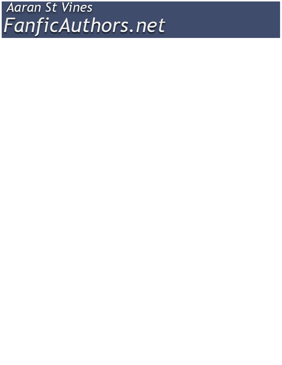# **Aaran St Vines** FanficAuthors.net

- 
- 
- 
- -
	-
	-
	-
- - -
- -
	-
- 
- 
- -
	-
	-
- 
- 
- 
- 
- 
- 
- - -
		-
		-
- -
- 
- 
- - -
		- -
	-
	-
	- -
		-
		-
		-
		-
- 
- 
- 
- 
- 
- 
- -
- -
	- -
- 
- 
- 
- 
- 
- 
- 
- 
- 
- 
- 
- 
- 
- 
- 
- 
- 
- 
- 
- 
- 
- 
- 
- 
- 
- 
-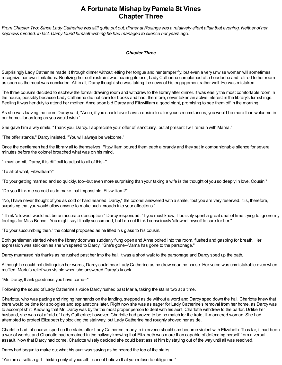## **A Fortunate Mishap byPamela St Vines Chapter Three**

From Chapter Two: Since Lady Catherine was still quite put out, dinner at Rosings was a relatively silent affair that evening. Neither of her *nephews minded. In fact, Darcy found himself wishing he had managed to silence her years ago.*

#### *Chapter Three*

Surprisingly Lady Catherine made it through dinner without letting her tongue and her temper fly, but even a very unwise woman will sometimes recognize her own limitations. Realizing her self-restraint was nearing its end, Lady Catherine complained of a headache and retired to her room as soon as the meal was concluded. All in all, Darcy thought she was taking the news of his engagement rather well. He was mistaken.

The three cousins decided to eschew the formal drawing room and withdrew to the library after dinner. It was easily the most comfortable room in the house, possibly because Lady Catherine did not care for books and had, therefore, never taken an active interest in the library's furnishings. Feeling it was her duty to attend her mother, Anne soon bid Darcy and Fitzwilliam a good night, promising to see them off in the morning.

As she was leaving the room Darcy said, "Anne, if you should ever have a desire to alter your circumstances, you would be more than welcome in our home--for as long as you would wish."

She gave him a wry smile. "Thank you, Darcy. I appreciate your offer of 'sanctuary,' but at present Iwill remain with Mama."

"The offer stands," Darcy insisted. "You will always be welcome."

Once the gentlemen had the library all to themselves, Fitzwilliam poured them each a brandy and they sat in companionable silence for several minutes before the colonel broached what was on his mind.

"Imust admit, Darcy, it is difficult to adjust to all of this--"

"To all of what, Fitzwilliam?"

"To your getting married and so quickly, too--but even more surprising than your taking a wife is the thought of you so deeply in love, Cousin."

"Do you think me so cold as to make that impossible, Fitzwilliam?"

"No, I have never thought of you as cold or hard hearted, Darcy," the colonel answered with a smile, "but you are very reserved. It is, therefore, surprising that you would allow anyone to make such inroads into your affections."

"I think 'allowed' would not be an accurate description," Darcy responded. "If you must know, I foolishly spent a great deal of time trying to ignore my feelings for Miss Bennet. You might say I finally succumbed, but I do not think I consciously 'allowed' myself to care for her."

"To your succumbing then," the colonel proposed as he lifted his glass to his cousin.

Both gentlemen started when the library door was suddenly flung open and Anne bolted into the room, flushed and gasping for breath. Her expression was stricken as she whispered to Darcy, "She's gone--Mama has gone to the parsonage."

Darcy murmured his thanks as he rushed past her into the hall. It was a short walk to the parsonage and Darcy sped up the path.

Although he could not distinguish her words, Darcy could hear Lady Catherine as he drew near the house. Her voice was unmistakable even when muffled. Maria's relief was visible when she answered Darcy's knock.

"Mr. Darcy, thank goodness you have come--"

Following the sound of Lady Catherine's voice Darcy rushed past Maria, taking the stairs two at a time.

Charlotte, who was pacing and ringing her hands on the landing, stepped aside without a word and Darcy sped down the hall. Charlotte knew that there would be time for apologies and explanations later. Right now she was as eager for Lady Catherine's removal from her home, as Darcy was to accomplish it. Knowing that Mr. Darcy was by far the most proper person to deal with his aunt, Charlotte withdrew to the parlor. Unlike her husband, she was not afraid of Lady Catherine; however, Charlotte had proved to be no match for the irate, ill-mannered woman. She had attempted to protect Elizabeth by blocking the stairway, but Lady Catherine had roughly shoved her aside.

Charlotte had, of course, sped up the stairs after Lady Catherine, ready to intervene should she become violent with Elizabeth. Thus far, it had been a war of words, and Charlotte had remained in the hallway knowing that Elizabeth was more than capable of defending herself from a verbal assault. Now that Darcy had come, Charlotte wisely decided she could best assist him by staying out of the way until all was resolved.

Darcy had begun to make out what his aunt was saying as he neared the top of the stairs.

"You are a selfish girl--thinking only of yourself. I cannot believe that you refuse to oblige me."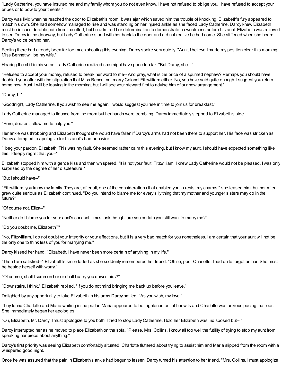"Lady Catherine, you have insulted me and my family whom you do not even know. I have not refused to oblige you. I have refused to accept your bribes or to bow to your threats."

Darcy was livid when he reached the door to Elizabeth's room. It was ajar which saved him the trouble of knocking. Elizabeth's fury appeared to match his own. She had somehow managed to rise and was standing on her injured ankle as she faced Lady Catherine. Darcy knew Elizabeth must be in considerable pain from the effort, but he admired her determination to demonstrate no weakness before his aunt. Elizabeth was relieved to see Darcy in the doorway, but Lady Catherine stood with her back to the door and did not realize he had come. She stiffened when she heard Darcy's voice behind her.

Feeling there had already been far too much shouting this evening, Darcy spoke very quietly. "Aunt, I believe Imade my position clear this morning. Miss Bennet will be my wife."

Hearing the chill in his voice, Lady Catherine realized she might have gone too far. "But Darcy, she--"

"Refused to accept your money, refused to break her word to me-- And pray, what is the price of a spurned nephew? Perhaps you should have doubled your offer with the stipulation that Miss Bennet not marry Colonel Fitzwilliam either. No, you have said quite enough. I suggest you return home now, Aunt. Iwill be leaving in the morning, but Iwill see your steward first to advise him of our new arrangement."

"Darcy, I--"

"Goodnight, Lady Catherine. If you wish to see me again, Iwould suggest you rise in time to join us for breakfast."

Lady Catherine managed to flounce from the room but her hands were trembling. Darcy immediately stepped to Elizabeth's side.

"Here, dearest, allow me to help you."

Her ankle was throbbing and Elizabeth thought she would have fallen if Darcy's arms had not been there to support her. His face was stricken as Darcy attempted to apologize for his aunt's bad behavior.

"I beg your pardon, Elizabeth. This was my fault. She seemed rather calm this evening, but I know my aunt. I should have expected something like this. I deeply regret that you--"

Elizabeth stopped him with a gentle kiss and then whispered, "It is not your fault, Fitzwilliam. I knew Lady Catherine would not be pleased. Iwas only surprised by the degree of her displeasure."

"But I should have--"

"Fitzwilliam, you know my family. They are, after all, one of the considerations that enabled you to resist my charms," she teased him, but her mien grew quite serious as Elizabeth continued. "Do you intend to blame me for every silly thing that my mother and younger sisters may do in the future?"

"Of course not, Eliza--"

"Neither do I blame you for your aunt's conduct. Imust ask though, are you certain you still want to marry me?"

"Do you doubt me, Elizabeth?"

"No, Fitzwilliam, I do not doubt your integrity or your affections, but it is a very bad match for you nonetheless. I am certain that your aunt will not be the only one to think less of you for marrying me."

Darcy kissed her hand. "Elizabeth, I have never been more certain of anything in my life."

"Then I am satisfied--" Elizabeth's smile faded as she suddenly remembered her friend. "Oh no, poor Charlotte. I had quite forgotten her. She must be beside herself with worry."

"Of course, shall I summon her or shall I carry you downstairs?"

"Downstairs, I think," Elizabeth replied, "if you do not mind bringing me back up before you leave."

Delighted by any opportunity to take Elizabeth in his arms Darcy smiled. "As you wish, my love."

They found Charlotte and Maria waiting in the parlor. Maria appeared to be frightened out of her wits and Charlotte was anxious pacing the floor. She immediately began her apologies.

"Oh, Elizabeth, Mr. Darcy, Imust apologize to you both. I tried to stop Lady Catherine. I told her Elizabeth was indisposed but-- "

Darcy interrupted her as he moved to place Elizabeth on the sofa. "Please, Mrs. Collins, I know all too well the futility of trying to stop my aunt from speaking her piece about anything."

Darcy's first priority was seeing Elizabeth comfortably situated. Charlotte fluttered about trying to assist him and Maria slipped from the room with a whispered good night.

Once he was assured that the pain in Elizabeth's ankle had begun to lessen, Darcy turned his attention to her friend. "Mrs. Collins, Imust apologize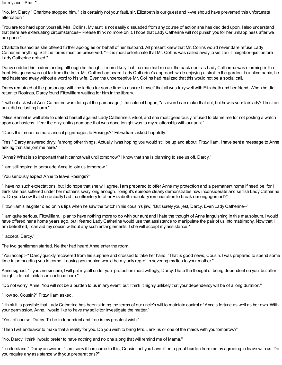for my aunt. She--"

"No, Mr. Darcy," Charlotte stopped him, "it is certainly not your fault, sir. Elizabeth is our guest and I--we should have prevented this unfortunate altercation."

"You are too hard upon yourself, Mrs. Collins. My aunt is not easily dissuaded from any course of action she has decided upon. I also understand that there are extenuating circumstances-- Please think no more on it. I hope that Lady Catherine will not punish you for her unhappiness after we are gone."

Charlotte flushed as she offered further apologies on behalf of her husband. All present knew that Mr. Collins would never dare refuse Lady Catherine anything. Still the forms must be preserved. "--it is most unfortunate that Mr. Collins was called away to visit an ill neighbor--just before Lady Catherine arrived."

Darcy nodded his understanding although he thought it more likely that the man had run out the back door as Lady Catherine was storming in the front. His guess was not far from the truth. Mr. Collins had heard Lady Catherine's approach while enjoying a stroll in the garden. In a blind panic, he had hastened away without a word to his wife. Even the unperceptive Mr. Collins had realized that this would not be a social call.

Darcy remained at the parsonage with the ladies for some time to assure himself that all was truly well with Elizabeth and her friend. When he did return to Rosings, Darcy found Fitzwilliam waiting for him in the library.

"Iwill not ask what Aunt Catherine was doing at the parsonage," the colonel began, "as even I can make that out, but how is your fair lady? I trust our aunt did no lasting harm."

"Miss Bennet is well able to defend herself against Lady Catherine's vitriol, and she most generously refused to blame me for not posting a watch upon our hostess. I fear the only lasting damage that was done tonight was to my relationship with our aunt."

"Does this mean no more annual pilgrimages to Rosings?" Fitzwilliam asked hopefully.

"Yes," Darcy answered dryly, "among other things. Actually Iwas hoping you would still be up and about, Fitzwilliam. I have sent a message to Anne asking that she join me here."

"Anne? What is so important that it cannot wait until tomorrow? I know that she is planning to see us off, Darcy."

"I am still hoping to persuade Anne to join us tomorrow."

"You seriously expect Anne to leave Rosings?"

"I have no such expectations, but I do hope that she will agree. I am prepared to offer Anne my protection and a permanent home if need be, for I think she has suffered under her mother's sway long enough. Tonight's episode clearly demonstrates how inconsiderate and selfish Lady Catherine is. Do you know that she actually had the effrontery to offer Elizabeth monetary remuneration to break our engagement?"

Fitzwilliam's laughter died on his lips when he saw the twitch in his cousin's jaw. "But surely you jest, Darcy. Even Lady Catherine--"

"I am quite serious, Fitzwilliam. I plan to have nothing more to do with our aunt and I hate the thought of Anne languishing in this mausoleum. Iwould have offered her a home years ago, but I feared Lady Catherine would use that assistance to manipulate the pair of us into matrimony. Now that I am betrothed, I can aid my cousin without any such entanglements if she will accept my assistance."

### "I accept, Darcy."

The two gentlemen started. Neither had heard Anne enter the room.

"You accept--" Darcy quickly recovered from his surprise and crossed to take her hand. "That is good news, Cousin. Iwas prepared to spend some time in persuading you to come. Leaving you behind would be my only regret in severing my ties to your mother."

Anne sighed. "If you are sincere, Iwill put myself under your protection most willingly, Darcy. I hate the thought of being dependent on you, but after tonight I do not think I can continue here."

"Do not worry, Anne. You will not be a burden to us in any event, but I think it highly unlikely that your dependency will be of a long duration."

"How so, Cousin?" Fitzwilliam asked.

"I think it is possible that Lady Catherine has been skirting the terms of our uncle's will to maintain control of Anne's fortune as well as her own. With your permission, Anne, Iwould like to have my solicitor investigate the matter."

"Yes, of course, Darcy. To be independent and free is my greatest wish."

"Then Iwill endeavor to make that a reality for you. Do you wish to bring Mrs. Jenkins or one of the maids with you tomorrow?"

"No, Darcy, I think Iwould prefer to have nothing and no one along that will remind me of Mama."

"I understand," Darcy answered. "I am sorry it has come to this, Cousin, but you have lifted a great burden from me by agreeing to leave with us. Do you require any assistance with your preparations?"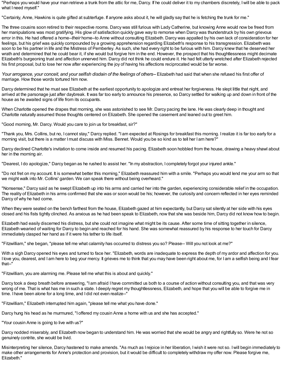"Perhaps you would have your man retrieve a trunk from the attic for me, Darcy. If he could deliver it to my chambers discretely, Iwill be able to pack what I need myself."

"Certainly, Anne, Hawkins is quite gifted at subterfuge. If anyone asks about it, he will gladly say that he is fetching the trunk for me."

The three cousins soon retired to their respective rooms. Darcy was still furious with Lady Catherine, but knowing Anne would now be freed from her manipulations was most gratifying. His glow of satisfaction quickly gave way to remorse when Darcy was thunderstruck by his own grievous error in this. He had offered a home--*their* home--to Anne without consulting Elizabeth. Darcy was appalled by his own lack of consideration for her feelings, but his grief was quickly compounded by a growing apprehension regarding Elizabeth's response to his transgression. Elizabeth was soon to be his partner in life and the Mistress of Pemberley. As such, she had every right to be furious with him. Darcy knew that he deserved her wrath and determined that he could bear it, if she would but forgive him in the end. However, the prospect that his thoughtlessness might decimate Elizabeth's burgeoning trust and affection unnerved him. Darcy did not think he could endure it. He had felt utterly wretched after Elizabeth rejected his first proposal, but to lose her now after experiencing the joy of having his affections reciprocated would be far worse.

Your arrogance, your conceit, and your selfish disdain of the feelings of others-- Elizabeth had said that when she refused his first offer of marriage. How those words tortured him now.

Darcy determined that he must see Elizabeth at the earliest opportunity to apologize and entreat her forgiveness. He slept little that night, and arrived at the parsonage just after daybreak. It was far too early to announce his presence, so Darcy settled for walking up and down in front of the house as he awaited signs of life from its occupants.

When Charlotte opened the drapes that morning, she was astonished to see Mr. Darcy pacing the lane. He was clearly deep in thought and Charlotte naturally assumed those thoughts centered on Elizabeth. She opened the casement and leaned out to greet him.

"Good morning, Mr. Darcy. Would you care to join us for breakfast, sir?"

"Thank you, Mrs. Collins, but no, I cannot stay," Darcy replied. "I am expected at Rosings for breakfast this morning. Irealize it is far too early for a morning visit, but there is a matter I must discuss with Miss. Bennet. Would you be so kind as to tell her I am here?"

Darcy declined Charlotte's invitation to come inside and resumed his pacing. Elizabeth soon hobbled from the house, drawing a heavy shawl about her in the morning air.

"Dearest, I do apologize," Darcy began as he rushed to assist her. "In my abstraction, I completely forgot your injured ankle."

"Do not fret on my account. It is somewhat better this morning," Elizabeth reassured him with a smile. "Perhaps you would lend me your arm so that we might walk into Mr. Collins' garden. We can speak there without being overheard."

"Nonsense," Darcy said as he swept Elizabeth up into his arms and carried her into the garden, experiencing considerable relief in the occupation. The reality of Elizabeth in his arms confirmed that she was or soon would be his; however, the curiosity and concern reflected in her eyes reminded Darcy of why he had come.

When they were seated on the bench farthest from the house, Elizabeth gazed at him expectantly, but Darcy sat silently at her side with his eyes closed and his fists tightly clinched. As anxious as he had been speak to Elizabeth, now that she was beside him, Darcy did not know how to begin.

Elizabeth had easily discerned his distress, but she could not imagine what might be its cause. After some time of sitting together in silence, Elizabeth wearied of waiting for Darcy to begin and reached for his hand. She was somewhat reassured by his response to her touch for Darcy immediately clasped her hand as if it were his tether to life itself.

"Fitzwilliam," she began, "please tell me what calamity has occurred to distress you so? Please-- Will you not look at me?"

With a sigh Darcy opened his eyes and turned to face her. "Elizabeth, words are inadequate to express the depth of my ardor and affection for you. I love you, dearest, and I am here to beg your mercy. It grieves me to think that you may have been right about me, for I am a selfish being and I fear that--"

"Fitzwilliam, you are alarming me. Please tell me what this is about and quickly."

Darcy took a deep breath before answering, "I am afraid I have committed us both to a course of action without consulting you, and that was very wrong of me. That is what has me in such a state. I deeply regret my thoughtlessness, Elizabeth, and hope that you will be able to forgive me in time. I have been alone for a long time, and I did not even realize--"

"Fitzwilliam," Elizabeth interrupted him again, "please tell me what you have done."

Darcy hung his head as he murmured, "I offered my cousin Anne a home with us and she has accepted."

"Your cousin Anne is going to live with us?"

Darcy nodded miserably, and Elizabeth now began to understand him. He was worried that she would be angry and rightfully so. Were he not so genuinely contrite, she would be livid.

Misinterpreting her silence, Darcy hastened to make amends. "As much as Irejoice in her liberation, Iwish it were not so. Iwill begin immediately to make other arrangements for Anne's protection and provision, but it would be difficult to completely withdraw my offer now. Please forgive me, Elizabeth."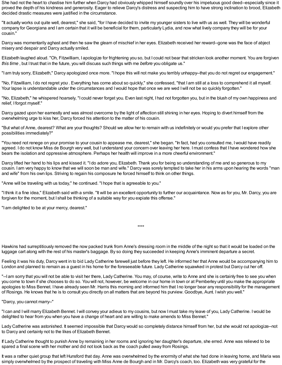She had not the heart to chastise him further when Darcy had obviously whipped himself soundly over his impetuous good deed--especially since it proved the depth of his kindness and generosity. Eager to relieve Darcy's distress and suspecting him to have strong inclination to brood, Elizabeth decided drastic measures were justified in the circumstance.

"It actually works out quite well, dearest," she said, "for I have decided to invite my younger sisters to live with us as well. They will be wonderful company for Georgiana and I am certain that it will be beneficial for them, particularly Lydia, and now what lively company they will be for your cousin."

Darcy was momentarily aghast and then he saw the gleam of mischief in her eyes. Elizabeth received her reward--gone was the face of abject misery and despair and Darcy actually smiled.

Elizabeth laughed aloud. "Oh, Fitzwilliam, I apologize for frightening you so, but I could not bear that stricken look another moment. You are forgiven *this time* , but I trust that in the future, you will discuss such things with me *before* you obligate us."

"I am truly sorry, Elizabeth," Darcy apologized once more. "I hope this will not make you terribly unhappy--that you do not regret our engagement."

"No, Fitzwilliam, I do not regret *you* . Everything has come about so quickly," she confessed, "that I am still at a loss to comprehend it all myself. Your lapse is understandable under the circumstances and I would hope that once we are wed I will not be so quickly forgotten."

"No, Elizabeth," he whispered hoarsely, "I could never forget you. Even last night, I had not forgotten you, but in the blush of my own happiness and relief, I forgot myself."

Darcy gazed upon her earnestly and was almost overcome by the light of affection still shining in her eyes. Hoping to divert himself from the overwhelming urge to kiss her, Darcy forced his attention to the matter of his cousin.

"But what of Anne, dearest? What are your thoughts? Should we allow her to remain with us indefinitely or would you prefer that I explore other possibilities immediately?"

"You need not renege on your promise to your cousin to appease me, dearest," she began. "In fact, had you consulted me, Iwould have readily agreed. I do not know Miss de Bourgh very well, but I understand your concern over leaving her here. Imust confess that I have wondered how she bears the isolation and oppressive atmosphere. Perhaps her health will improve in a more cheerful environment."

Darcy lifted her hand to his lips and kissed it. "I do adore you, Elizabeth. Thank you for being so understanding of me and so generous to my cousin. I am very happy to know that we will soon be man and wife." Darcy was sorely tempted to take her in his arms upon hearing the words "man and wife" from his own lips. Striving to regain his composure he forced himself to think on other things.

"Anne will be traveling with us today," he continued. "I hope that is agreeable to you."

"I think it a fine idea," Elizabeth said with a smile. "It will be an excellent opportunity to further our acquaintance. Now as for you, Mr. Darcy, you are forgiven for the moment, but I shall be thinking of a suitable way for you expiate this offense."

"I am delighted to be at your mercy, dearest."

Hawkins had surreptitiously removed the now packed trunk from Anne's dressing room in the middle of the night so that it would be loaded on the luggage cart along with the rest of his master's baggage. By so doing they succeeded in keeping Anne's imminent departure a secret.

\*\*\*\*

Feeling it was his duty, Darcy went in to bid Lady Catherine farewell just before they left. He informed her that Anne would be accompanying him to London and planned to remain as a guest in his home for the foreseeable future. Lady Catherine squawked in protest but Darcy cut her off.

"--I am sorry that you will not be able to visit her there, Lady Catherine. You may, of course, write to Anne and she is certainly free to see you when you come to town if she chooses to do so. You will not, however, be welcome in our home in town or at Pemberley until you make the appropriate apologies to Miss Bennet. I have already seen Mr. Harris this morning and informed him that I no longer bear any responsibility for the management of Rosings. He knows that he is to consult you directly on all matters that are beyond his purview. Goodbye, Aunt. Iwish you well."

"Darcy, you cannot marry--"

"I can and Iwill marry Elizabeth Bennet. Iwill convey your adieus to my cousins, but now Imust take my leave of you, Lady Catherine. Iwould be delighted to hear from you when you have a change of heart and are willing to make amends to Miss Bennet."

Lady Catherine was astonished. It seemed impossible that Darcy would so completely distance himself from her, but she would not apologize--not to Darcy and certainly not to the likes of Elizabeth Bennet.

If Lady Catherine thought to punish Anne by remaining in her rooms and ignoring her daughter's departure, she erred. Anne was relieved to be spared a final scene with her mother and did not look back as the coach pulled away from Rosings.

It was a rather quiet group that left Hunsford that day. Anne was overwhelmed by the enormity of what she had done in leaving home, and Maria was simply overwhelmed by the prospect of traveling with Miss Anne de Bourgh and in Mr. Darcy's coach, too. Elizabeth was very grateful for the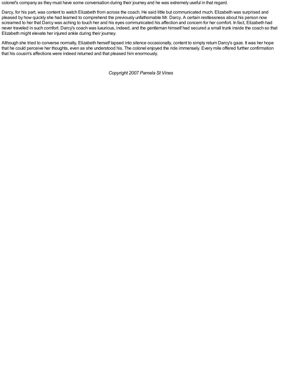colonel's company as they must have some conversation during their journey and he was extremely useful in that regard.

Darcy, for his part, was content to watch Elizabeth from across the coach. He said little but communicated much. Elizabeth was surprised and pleased by how quickly she had learned to comprehend the previously unfathomable Mr. Darcy. A certain restlessness about his person now screamed to her that Darcy was aching to touch her and his eyes communicated his affection and concern for her comfort. In fact, Elizabeth had never traveled in such comfort. Darcy's coach was luxurious, indeed, and the gentleman himself had secured a small trunk inside the coach so that Elizabeth might elevate her injured ankle during their journey.

Although she tried to converse normally, Elizabeth herself lapsed into silence occasionally, content to simply return Darcy's gaze. It was her hope that he could perceive her thoughts, even as she understood his. The colonel enjoyed the ride immensely. Every mile offered further confirmation that his cousin's affections were indeed returned and that pleased him enormously.

*Copyright 2007 Pamela St Vines*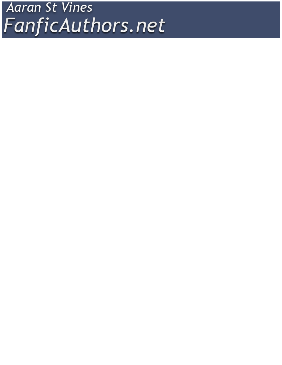# **Aaran St Vines** FanficAuthors.net

- 
- 
- 
- -
	-
	-
	-
- - -
- -
	-
- 
- 
- -
	-
	-
- 
- 
- 
- 
- 
- 
- - -
		-
		-
- -
- 
- 
- - -
		- -
	-
	-
	- -
		-
		-
		-
		-
- 
- 
- 
- 
- 
- 
- -
- -
	- -
- 
- 
- 
- 
- 
- 
- 
- 
- 
- 
- 
- 
- 
- 
- 
- 
- 
- 
- 
- 
- 
- 
- 
- 
- 
- 
-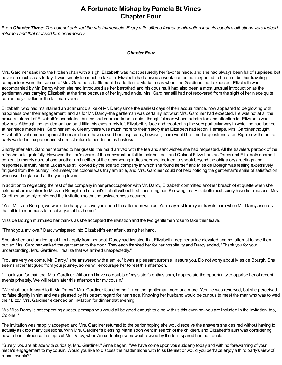## **A Fortunate Mishap byPamela St Vines Chapter Four**

From Chapter Three: The colonel enjoyed the ride immensely. Every mile offered further confirmation that his cousin's affections were indeed *returned and that pleased him enormously.*

#### *Chapter Four*

Mrs. Gardiner sank into the kitchen chair with a sigh. Elizabeth was most assuredly her favorite niece, and she had always been full of surprises, but never so much so as today. It was simply too much to take in. Elizabeth had arrived a week earlier than expected to be sure, but her traveling companions were the source of Mrs. Gardiner's bafflement. In addition to Maria Lucas whom the Gardiners had expected, Elizabeth was accompanied by Mr. Darcy whom she had introduced as her betrothed and his cousins. It had also been a most unusual introduction as the gentleman was carrying Elizabeth at the time because of her injured ankle. Mrs. Gardiner still had not recovered from the sight of her niece quite contentedly cradled in the tall man's arms.

Elizabeth, who had maintained an adamant dislike of Mr. Darcy since the earliest days of their acquaintance, now appeared to be glowing with happiness over their engagement; and as for Mr. Darcy--the gentleman was certainly not what Mrs. Gardiner had expected. He was not at all the proud aristocrat of Elizabeth's anecdotes, but instead seemed to be a quiet, thoughtful man whose admiration and affection for Elizabeth was obvious. Although the gentleman had said little, his eyes rarely left Elizabeth's face and recollecting the very particular way in which he had looked at her niece made Mrs. Gardiner smile. Clearly there was much more to their history than Elizabeth had let on. Perhaps, Mrs. Gardiner thought, Elizabeth's vehemence against the man should have raised her suspicions; however, there would be time for questions later. Right now the entire party waited in the parlor and she must return to her duties as hostess.

Shortly after Mrs. Gardiner returned to her guests, the maid arrived with the tea and sandwiches she had requested. All the travelers partook of the refreshments gratefully. However, the lion's share of the conversation fell to their hostess and Colonel Fitzwilliam as Darcy and Elizabeth seemed content to merely gaze at one another and neither of the other young ladies seemed inclined to speak beyond the obligatory greetings and responses. In truth, Maria Lucas was still cowed by the exalted company in which she found herself and Miss de Bourgh was feeling excessively fatigued from the journey. Fortunately the colonel was truly amiable, and Mrs. Gardiner could not help noticing the gentleman's smile of satisfaction whenever he glanced at the young lovers.

In addition to neglecting the rest of the company in her preoccupation with Mr. Darcy, Elizabeth committed another breach of etiquette when she extended an invitation to Miss de Bourgh on her aunt's behalf without first consulting her. Knowing that Elizabeth must surely have her reasons, Mrs. Gardiner smoothly reinforced the invitation so that no awkwardness occurred.

"Yes, Miss de Bourgh, we would be happy to have you spend the afternoon with us. You may rest from your travels here while Mr. Darcy assures that all is in readiness to receive you at his home."

Miss de Bourgh murmured her thanks as she accepted the invitation and the two gentlemen rose to take their leave.

"Thank you, my love," Darcy whispered into Elizabeth's ear after kissing her hand.

She blushed and smiled up at him happily from her seat. Darcy had insisted that Elizabeth keep her ankle elevated and not attempt to see them out, so Mrs. Gardiner walked the gentlemen to the door. They each thanked her for her hospitality and Darcy added, "Thank you for your understanding, Mrs. Gardiner. Irealize that we arrived unexpectedly."

"You are very welcome, Mr. Darcy," she answered with a smile. "It was a pleasant surprise I assure you. Do not worry about Miss de Bourgh. She seems rather fatigued from your journey, so we will encourage her to rest this afternoon."

"I thank you for that, too, Mrs. Gardiner. Although I have no doubts of my sister's enthusiasm, I appreciate the opportunity to apprise her of recent events privately. We will return later this afternoon for my cousin."

"We shall look forward to it, Mr. Darcy." Mrs. Gardiner found herself liking the gentleman more and more. Yes, he was reserved, but she perceived no false dignity in him and was pleased by his patent regard for her niece. Knowing her husband would be curious to meet the man who was to wed their Lizzy, Mrs. Gardiner extended an invitation for dinner that evening.

"As Miss Darcy is not expecting guests, perhaps you would all be good enough to dine with us this evening--you are included in the invitation, too, Colonel."

The invitation was happily accepted and Mrs. Gardiner returned to the parlor hoping she would receive the answers she desired without having to actually ask too many questions. With Mrs. Gardiner's blessing Maria soon went in search of the children, and Elizabeth's aunt was considering how to best introduce the topic of Mr. Darcy, when Anne--feeling somewhat revived by the tea--spared her the trouble.

"Surely, you are ablaze with curiosity, Mrs. Gardiner," Anne began. "We have come upon you suddenly today and with no forewarning of your niece's engagement to my cousin. Would you like to discuss the matter alone with Miss Bennet or would you perhaps enjoy a third party's view of recent events?"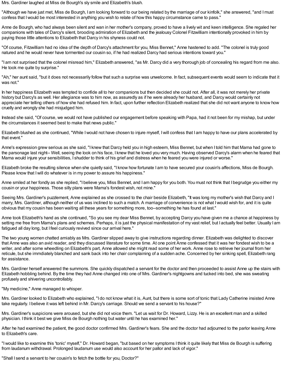Mrs. Gardiner laughed at Miss de Bourgh's sly smile and Elizabeth's blush.

"Although we have just met, Miss de Bourgh, I am looking forward to our being related by the marriage of our kinfolk," she answered, "and Imust confess that Iwould be most interested in anything you wish to relate of how this happy circumstance came to pass."

Anne de Bourgh, who had always been silent and wan in her mother's company, proved to have a lively wit and keen intelligence. She regaled her companions with tales of Darcy's silent, brooding admiration of Elizabeth and the jealousy Colonel Fitzwilliam intentionally provoked in him by paying those little attentions to Elizabeth that Darcy in his shyness could not.

"Of course, Fitzwilliam had no idea of the depth of Darcy's attachment for you, Miss Bennet," Anne hastened to add. "The colonel is truly good natured and he would never have tormented our cousin so, if he had realized Darcy had serious intentions toward you."

"I am not surprised that the colonel misread him," Elizabeth answered, "as Mr. Darcy did a very thorough job of concealing his regard from me also. He took me quite by surprise."

"Ah," her aunt said, "but it does not necessarily follow that such a surprise was unwelcome. In fact, subsequent events would seem to indicate that it was not."

In her happiness Elizabeth was tempted to confide all to her companions but then decided she could not. After all, it was not merely her private history but Darcy's as well. Her allegiance was to him now, as assuredly as if he were already her husband, and Darcy would certainly not appreciate her telling others of how she had refused him. In fact, upon further reflection Elizabeth realized that she did not want anyone to know how cruelly and wrongly she had misjudged him.

Instead she said, "Of course, we would not have published our engagement before speaking with Papa, had it not been for my mishap, but under the circumstances it seemed best to make that news public."

Elizabeth blushed as she continued, "While Iwould not have chosen to injure myself, Iwill confess that I am happy to have our plans accelerated by that event."

Anne's expression grew serious as she said, "I knew that Darcy held you in high esteem, Miss Bennet, but when I told him that Mama had gone to the parsonage last night-- Well, seeing the look on his face, I knew that he loved you very much. Having observed Darcy's alarm when he feared that Mama would injure your sensibilities, I shudder to think of his grief and distress when he feared you were injured or worse."

Elizabeth broke the resulting silence when she quietly said, "I know how fortunate I am to have secured your cousin's affections, Miss de Bourgh. Please know that Iwill do whatever is in my power to assure his happiness."

Anne smiled at her fondly as she replied, "I believe you, Miss Bennet, and I am happy for you both. You must not think that I begrudge you either my cousin or your happiness. Those silly plans were Mama's fondest wish, not mine."

Seeing Mrs. Gardiner's puzzlement, Anne explained as she crossed to the chair beside Elizabeth, "It was long my mother's wish that Darcy and I marry, Mrs. Gardiner, although neither of us was inclined to such a match. A marriage of convenience is not what Iwould wish for, and it is quite obvious that my cousin has been waiting all these years for something more, too--something he has found at last."

Anne took Elizabeth's hand as she continued, "So you see my dear Miss Bennet, by accepting Darcy you have given me a chance at happiness by setting me free from Mama's plans and schemes. Perhaps, it is just the physical manifestation of my vast relief, but I actually feel better. Usually I am fatigued all day long, but I feel curiously revived since our arrival here."

The two young women chatted amiably as Mrs. Gardiner slipped away to give instructions regarding dinner. Elizabeth was delighted to discover that Anne was also an avid reader, and they discussed literature for some time. At one point Anne confessed that it was her fondest wish to be a writer, and after some wheedling on Elizabeth's part, Anne allowed she might read some of her work. Anne rose to retrieve her journal from her reticule, but she immdiately blanched and sank back into her chair complaining of a sudden ache. Concerned by her sinking spell, Elizabeth rang for assistance.

Mrs. Gardiner herself answered the summons. She quickly dispatched a servant for the doctor and then proceeded to assist Anne up the stairs with Elizabeth hobbling behind. By the time they had Anne changed into one of Mrs. Gardiner's nightgowns and tucked into bed, she was sweating profusely and shivering uncontrollably.

"My medicine," Anne managed to whisper.

Mrs. Gardiner looked to Elizabeth who explained, "I do not know what it is, Aunt, but there is some sort of tonic that Lady Catherine insisted Anne take regularly. I believe it was left behind in Mr. Darcy's carriage. Should we send a servant to his house?"

Mrs. Gardiner's suspicions were aroused, but she did not voice them. "Let us wait for Dr. Howard, Lizzy. He is an excellent man and a skilled physician. I think it best we give Miss de Bourgh nothing but water until he has examined her."

After he had examined the patient, the good doctor confirmed Mrs. Gardiner's fears. She and the doctor had adjourned to the parlor leaving Anne to Elizabeth's care.

"Iwould like to examine this 'tonic' myself," Dr. Howard began, "but based on her symptoms I think it quite likely that Miss de Bourgh is suffering from laudanum withdrawal. Prolonged laudanum use would also account for her pallor and lack of vigor."

"Shall I send a servant to her cousin's to fetch the bottle for you, Doctor?"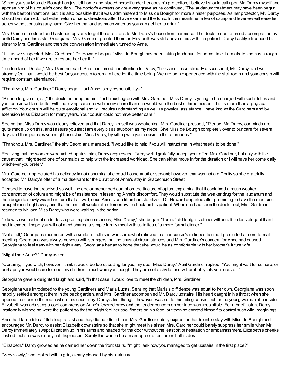"Since you say Miss de Bourgh has just left home and placed herself under her cousin's protection, I believe I should call upon Mr. Darcy myself and apprise him of his cousin's condition." The doctor's expression grew very grave as he continued, "The laudanum treatment may have been begun with the best of intentions, but it is also possible that it was administered to Miss de Bourgh for more sinister purposes. As her protector, Mr. Darcy should be informed. Iwill either return or send directions after I have examined the tonic. In the meantime, a tea of catnip and feverfew will ease her aches without causing any harm. Give her that and as much water as you can get her to drink."

Mrs. Gardiner nodded and hastened upstairs to get the directions to Mr. Darcy's house from her niece. The doctor soon returned accompanied by both Darcy and his sister Georgiana. Mrs. Gardiner greeted them as Elizabeth was still above stairs with the patient. Darcy hastily introduced his sister to Mrs. Gardiner and then the conversation immediately turned to Anne.

"It is as we suspected, Mrs. Gardiner," Dr. Howard began. "Miss de Bourgh has been taking laudanum for some time. I am afraid she has a rough time ahead of her if we are to restore her health."

"I understand, Doctor," Mrs. Gardiner said. She then turned her attention to Darcy, "Lizzy and I have already discussed it, Mr. Darcy, and we strongly feel that it would be best for your cousin to remain here for the time being. We are both experienced with the sick room and your cousin will require constant attendance."

"Thank you, Mrs. Gardiner," Darcy began, "but Anne is my responsibility--"

"Please forgive me, sir," the doctor interrupted him, "but Imust agree with Mrs. Gardiner. Miss Darcy is young to be charged with such duties and your cousin will fare better with the loving care she will receive here than she would with the best of hired nurses. This is more than a physical affliction. Your cousin will be quite emotional and will require understanding as well as physical assistance. I have known the Gardiners and by extension Miss Elizabeth for many years. Your cousin could not have better care."

Seeing that Miss Darcy was clearly relieved and that Darcy himself was weakening, Mrs. Gardiner pressed, "Please, Mr. Darcy, our minds are quite made up on this, and I assure you that I am every bit as stubborn as my niece. Give Miss de Bourgh completely over to our care for several days and then perhaps you might assist us, Miss Darcy, by sitting with your cousin in the afternoons."

"Thank you, Mrs. Gardiner," the shyGeorgiana managed, "Iwould like to help if you will instruct me in what needs to be done."

Realizing that the women were united against him, Darcy acquiesced, "Very well, I gratefully accept your offer, Mrs. Gardiner, but only with the caveat that Imight send one of our maids to help with the increased workload. She can either move in for the duration or Iwill have her come daily whichever you prefer."

Mrs. Gardiner appreciated his delicacy in not assuming she could house another servant; however, that was not a difficulty so she gratefully accepted Mr. Darcy's offer of a maidservant for the duration of Anne's stay in Gracechurch Street.

Pleased to have that resolved so well, the doctor prescribed camphorated tincture of opium explaining that it contained a much weaker concentration of opium and might be of assistance in lessening Anne's discomfort. They would substitute the weaker drug for the laudanum and then begin to slowly wean her from that as well, once Anne's condition had stabilized. Dr. Howard departed after promising to have the medicine brought round right away and that he himself would return tomorrow to check on his patient. When she had seen the doctor out, Mrs. Gardiner returned to Mr. and Miss Darcy who were waiting in the parlor.

"I do wish we had met under less upsetting circumstances, Miss Darcy," she began. "I am afraid tonight's dinner will be a little less elegant than I had intended. I hope you will not mind sharing a simple family meal with us in lieu of a more formal dinner."

"Not at all," Georgiana murmured with a smile. In truth she was somewhat relieved that her cousin's indisposition had precluded a more formal meeting. Georgiana was always nervous with strangers, but the unusual circumstances and Mrs. Gardiner's concern for Anne had caused Georgiana to feel easy with her right away. Georgiana began to hope that she would be as comfortable with her brother's future wife.

"Might I see Anne?" Darcy asked.

"Certainly, if you wish; however, I think it would be too upsetting for you, my dear Miss Darcy," Aunt Gardiner replied. "You might wait for us here, or perhaps you would care to meet my children. Imust warn you though. They are not a shy lot and will probably talk your ears off."

Georgiana gave a delighted laugh and said, "In that case, Iwould love to meet the children, Mrs. Gardiner.

Georgiana was introduced to the young Gardiners and Maria Lucas. Sensing that Maria's diffidence was equal to her own, Georgiana was soon happily settled amongst them in the back garden, and Mrs. Gardiner accompanied Mr. Darcy upstairs. His heart caught in his throat when she opened the door to the room where his cousin lay. Darcy's first thought, however, was not for his ailing cousin, but for the young woman at her side. Elizabeth was adjusting a cool compress on Anne's fevered brow and the tender concern on her face was irresistible. For a brief instant Darcy irrationally wished he were the patient so that he might feel her cool fingers on his face, but then he exerted himself to control such wild imaginings.

Anne had fallen into a fitful sleep at last and they did not disturb her. Mrs. Gardiner quietly expressed her intent to stay with Miss de Bourgh and encouraged Mr. Darcy to assist Elizabeth downstairs so that she might meet his sister. Mrs. Gardiner could barely suppress her smile when Mr. Darcy immediately swept Elizabeth up in his arms and headed for the door without the least bit of hesitation or embarrassment. Elizabeth's cheeks flushed, but she was clearly not displeased. Surely this was to be a marriage of affection on both sides.

"Elizabeth," Darcy growled as he carried her down the front stairs, "might I ask how you managed to get upstairs in the first place?"

"Very slowly," she replied with a grin, clearly pleased by his jealousy.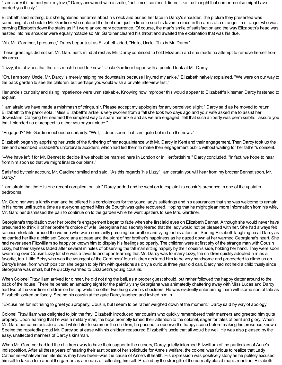"I am sorry if it pained you, my love," Darcy answered with a smile, "but Imust confess I did not like the thought that someone else might have carried you thusly."

Elizabeth said nothing, but she tightened her arms about his neck and buried her face in Darcy's shoulder. The picture they presented was something of a shock to Mr. Gardiner who entered the front door just in time to see his favorite niece in the arms of a stranger--a stranger who was carrying Elizabeth down the stairs as if it were an ordinary occurrence. Of course, the man's smile of satisfaction and the way Elizabeth's head was nestled into his shoulder were equally notable so Mr. Gardiner cleared his throat and awaited the explanation that was his due.

"Ah, Mr. Gardiner, I presume," Darcy began just as Elizabeth cried, "Hello, Uncle. This is Mr. Darcy."

These greetings did not set Mr. Gardiner's mind at rest as Mr. Darcy continued to hold Elizabeth and she made no attempt to remove herself from his arms.

"Lizzy, it is obvious that there is much I need to know," Uncle Gardiner began with a pointed look at Mr. Darcy.

"Oh, I am sorry, Uncle. Mr. Darcy is merely helping me downstairs because I injured my ankle," Elizabeth naively explained. "We were on our way to the back garden to see the children, but perhaps you would wish a private interview first."

Her uncle's curiosity and rising impatience were unmistakable. Knowing how improper this would appear to Elizabeth's kinsman Darcy hastened to explain.

"I am afraid we have made a mishmash of things, sir. Please accept my apologies for any perceived slight," Darcy said as he moved to return Elizabeth to the parlor sofa. "Miss Elizabeth's ankle is very swollen from a fall she took two days ago and your wife asked me to assist her downstairs. Carrying her seemed the simplest way to spare her ankle and as we are engaged I felt that such a liberty was permissible. I assure you that I intended no disrespect to either you or your niece."

"Engaged?" Mr. Gardiner echoed uncertainly. "Well, it does seem that I am quite behind on the news."

Elizabeth began by apprising her uncle of the furthering of her acquaintance with Mr. Darcy in Kent and their engagement. Then Darcy took up the tale and described Elizabeth's unfortunate accident, which had led them to make their engagement public without waiting for her father's consent.

"--We have left if for Mr. Bennet to decide if we should be married here in London or in Hertfordshire," Darcy concluded. "In fact, we hope to hear from him soon so that we might finalize our plans."

Satisfied by their account, Mr. Gardiner smiled and said, "As this regards 'his Lizzy,' I am certain you will hear from my brother Bennet soon, Mr. Darcy."

"I am afraid that there is one recent complication, sir," Darcy added and he went on to explain his cousin's presence in one of the upstairs bedrooms.

Mr. Gardiner was a kindly man and he offered his condolences for the young lady's sufferings and his assurances that she was welcome to remain in his home until such a time as everyone agreed Miss de Bourgh was quite recovered. Hoping that he might glean more information from his wife, Mr. Gardiner dismissed the pair to continue on to the garden while he went upstairs to see Mrs. Gardiner.

Georgiana's trepidation over her brother's engagement began to fade when she first laid eyes on Elizabeth Bennet. Although she would never have presumed to think ill of her brother's choice of wife, Georgiana had secretly feared that the lady would not be pleased with her. She had always felt so uncomfortable around the women who were constantly pursuing her brother and vying for his attention. Seeing Elizabeth laughing up at Darcy as he carried her like a child set Georgiana at ease and the sight of her brother's happiness as he gazed down at her warmed Georgiana's heart. She had never seen Fitzwilliam so happy or known him to display his feelings so openly. The children were at first shy of the strange man with Cousin Lizzy, but their shyness faded after several minutes of observing the tall man sitting happily by their cousin's side, holding her hand. They were soon swarming over Cousin Lizzy for she was a favorite and upon learning that Mr. Darcy was to marry Lizzy, the children quickly adopted him as a favorite, too. Little Betsy who was the youngest of the Gardiners' four children declared him to be very handsome and proceeded to climb up on Darcy's knee, from which position she began to ply him with questions as only a curious three year old can. Darcy had not held a child thusly since Georgiana was small, but he quickly warmed to Elizabeth's young cousins.

When Colonel Fitzwilliam arrived for dinner, he did not ring the bell, as a proper guest should, but rather followed the happy clatter around to the back of the house. There he beheld an amazing sight for the painfully shyGeorgiana was animatedly chattering away with Miss Lucas and Darcy had two of the Gardiner children on his lap while the other two hung over his shoulders. He was evidently entertaining them with some sort of tale as Elizabeth looked on fondly. Seeing his cousin at the gate Darcy laughed and invited him in.

"Excuse me for not rising to greet you properly, Cousin, but I seem to be rather weighed down at the moment," Darcy said by way of apology.

Colonel Fitzwilliam was delighted to join the fray. Elizabeth introduced her cousins who quickly remembered their manners and greeted him quite properly. Upon learning that he was a military man, the boys promptly turned their attention to the colonel, eager for tales of peril and glory. When Mr. Gardiner came outside a short while later to summon the children, he paused to observe the happy scene before making his presence known. Seeing the reputedly proud Mr. Darcy so at ease with his children reassured Elizabeth's uncle that all would be well. He was also pleased by the easy, unaffected manners of Darcy's kinsman.

When Mr. Gardiner had led the children away to have their supper in the nursery, Darcy quietly informed Fitzwilliam of the particulars of Anne's indisposition. After all these years of hearing their aunt boast of her solicitude for Anne's welfare, the colonel was furious to realize that Lady Catherine--whatever her intentions may have been--was the cause of Anne's ill health. His expression was positively stony as he politely excused himself to take a turn about the garden as a means of collecting himself. Puzzled by the strength of the normally placid man's reaction, Elizabeth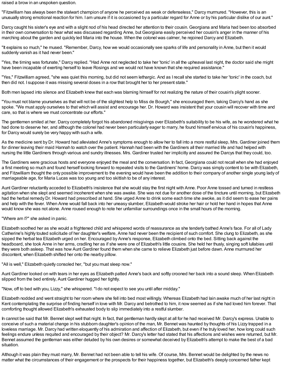raised a brow in an unspoken question.

"Fitzwilliam has always been the stalwart champion of anyone he perceived as weak or defenseless," Darcy murmured. "However, this is an unusually strong emotional reaction for him. I am unsure if it is occasioned by a particular regard for Anne or by his particular dislike of our aunt."

Darcy caught his sister's eye and with a slight nod of his head directed her attention to their cousin. Georgiana and Maria had been too absorbed in their own conversation to hear what was discussed regarding Anne, but Georgiana easily perceived her cousin's anger in the manner of his marching about the garden and quickly led Maria into the house. When the colonel was calmer, he rejoined Darcy and Elizabeth.

"It explains so much," he mused. "Remember, Darcy, how we would occasionally see sparks of life and personality in Anne, but then it would suddenly vanish as it had never been."

"Yes, the timing was fortunate," Darcy replied. "Had Anne not neglected to take her 'tonic' in all the upheaval last night, the doctor said she might have been incapable of exerting herself to leave Rosings and we would not have known that she required assistance."

"Yes," Fitzwilliam agreed, "she was quiet this morning, but did not seem lethargic. And as I recall she started to take her 'tonic' in the coach, but then did not. I suppose it was missing several doses in a row that brought her to her present state."

Both men lapsed into silence and Elizabeth knew that each was blaming himself for not realizing the nature of their cousin's plight sooner.

"You must not blame yourselves as that will not be of the slightest help to Miss de Bourgh," she encouraged them, taking Darcy's hand as she spoke. "We must apply ourselves to that which will assist and encourage her. Dr. Howard was insistent that your cousin will recover with time and care, so that is where we must concentrate our efforts."

The gentlemen smiled at her. Darcy completely forgot his abandoned misgivings over Elizabeth's suitability to be his wife, as he wondered what he had done to deserve her, and although the colonel had never been particularly eager to marry, he found himself envious of his cousin's happiness, for Darcy would surely be very happy with such a wife.

As the medicine sent by Dr. Howard had alleviated Anne's symptoms enough to allow her to fall into a more restful sleep, Mrs. Gardiner joined them for dinner leaving their maid Hannah to watch over the patient. Hannah had been with the Gardiners all their married life and had helped with nursing the little Gardiners through various and sundry illnesses. Mrs. Gardiner trusted her implicitly and assured the Darcys that they could, too.

The Gardiners were gracious hosts and everyone enjoyed the meal and the conversation. In fact, Georgiana could not recall when she had enjoyed a first meeting so much and found herself looking forward to repeated visits to the Gardiners' home. Darcy was simply content to be with Elizabeth, and Fitzwilliam thought the only possible improvement to the evening would have been the addition to their company of another single young lady of marriageable age, for Maria Lucas was too young and too skittish to be of any interest.

Aunt Gardiner reluctantly acceded to Elizabeth's insistence that she would stay the first night with Anne. Poor Anne tossed and turned in restless agitation when she slept and seemed incoherent when she was awake. She was not due for another dose of the tincture until morning, but Elizabeth had the herbal remedy Dr. Howard had prescribed at hand. She urged Anne to drink some each time she awoke, as it did seem to ease her pains and help with the fever. When Anne would fall back into her uneasy slumber, Elizabeth would stroke her hair or hold her hand in hopes that Anne would know she was not alone. Anne roused enough to note her unfamiliar surroundings once in the small hours of the morning.

"Where am I?" she asked in panic.

Elizabeth soothed her as she would a frightened child and whispered words of reassurance as she tenderly bathed Anne's face. For all of Lady Catherine's highly touted solicitude of her daughter's welfare, Anne had never been the recipient of such comfort. She clung to Elizabeth, as she sipped the herbal tea Elizabeth urged on her. Encouraged by Anne's response, Elizabeth climbed onto the bed. Sitting back against the headboard, she took Anne in her arms, cradling her as if she were one of Elizabeth's little cousins. She held her thusly, singing soft lullabies until they were both asleep. That was how Aunt Gardiner found them when she came to relieve Elizabeth just before dawn. Anne murmured her discontent, when Elizabeth shifted her onto the nearby pillow.

"All is well," Elizabeth quietly consoled her, "but you must sleep now."

Aunt Gardiner looked on with tears in her eyes as Elizabeth patted Anne's back and softly crooned her back into a sound sleep. When Elizabeth slipped from the bed entirely, Aunt Gardiner hugged her tightly.

"Now, off to bed with you, Lizzy," she whispered. "I do not expect to see you until after midday."

Elizabeth nodded and went straight to her room where she fell into bed most willingly. Whereas Elizabeth had lain awake much of her last night in Kent contemplating the surprise of finding herself in love with Mr. Darcy and betrothed to him, it now seemed as if she had loved him forever. That comforting thought allowed Elizabeth's exhausted body to slip immediately into a restful slumber.

In cannot be said that Mr. Bennet slept well that night. In fact, that gentleman hardly slept at all for he had received Mr. Darcy's express. Unable to conceive of such a material change in his stubborn daughter's opinion of the man, Mr. Bennet was haunted by thoughts of his Lizzy trapped in a loveless marriage. Mr. Darcy had written eloquently of his admiration and affection of Elizabeth, but even if he truly loved her, how long could such feelings endure unless requited and encouraged by their object? Mr. Darcy's letter had stated that his affections and wishes were returned, but Mr. Bennet assumed the gentleman was either deluded by his own desires or somewhat deceived by Elizabeth's attempt to make the best of a bad situation.

Although it was plain they must marry, Mr. Bennet had not been able to tell his wife. Of course, Mrs. Bennet would be delighted by the news no matter what the circumstances of their engagement or the prospects for their happiness together, but Elizabeth's deeply concerned father kept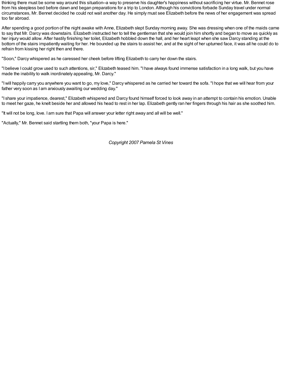thinking there must be some way around this situation--a way to preserve his daughter's happiness without sacrificing her virtue. Mr. Bennet rose from his sleepless bed before dawn and began preparations for a trip to London. Although his convictions forbade Sunday travel under normal circumstances, Mr. Bennet decided he could not wait another day. He simply must see Elizabeth before the news of her engagement was spread too far abroad.

After spending a good portion of the night awake with Anne, Elizabeth slept Sunday morning away. She was dressing when one of the maids came to say that Mr. Darcy was downstairs. Elizabeth instructed her to tell the gentleman that she would join him shortly and began to move as quickly as her injury would allow. After hastily finishing her toilet, Elizabeth hobbled down the hall, and her heart leapt when she saw Darcy standing at the bottom of the stairs impatiently waiting for her. He bounded up the stairs to assist her, and at the sight of her upturned face, it was all he could do to refrain from kissing her right then and there.

"Soon," Darcy whispered as he caressed her cheek before lifting Elizabeth to carry her down the stairs.

"I believe I could grow used to such attentions, sir," Elizabeth teased him. "I have always found immense satisfaction in a long walk, but you have made the inability to walk inordinately appealing, Mr. Darcy."

"Iwill happily carry you anywhere you want to go, my love," Darcy whispered as he carried her toward the sofa. "I hope that we will hear from your father very soon as I am anxiously awaiting our wedding day."

"I share your impatience, dearest," Elizabeth whispered and Darcy found himself forced to look away in an attempt to contain his emotion. Unable to meet her gaze, he knelt beside her and allowed his head to rest in her lap. Elizabeth gently ran her fingers through his hair as she soothed him.

"It will not be long, love. I am sure that Papa will answer your letter right away and all will be well."

"Actually," Mr. Bennet said startling them both, "your Papa is here."

*Copyright 2007 Pamela St Vines*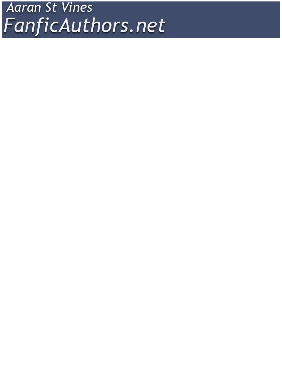# **Aaran St Vines** FanficAuthors.net

- 
- 
- 
- -
	-
	-
	-
- - -
- -
	-
- 
- 
- -
	-
	-
- 
- 
- 
- 
- 
- 
- - -
		-
		-
- -
- 
- 
- - -
		- -
	-
	-
	- -
		-
		-
		-
		-
- 
- 
- 
- 
- 
- 
- -
- -
	- -
- 
- 
- 
- 
- 
- 
- 
- 
- 
- 
- 
- 
- 
- 
- 
- 
- 
- 
- 
- 
- 
- 
- 
- 
- 
- 
-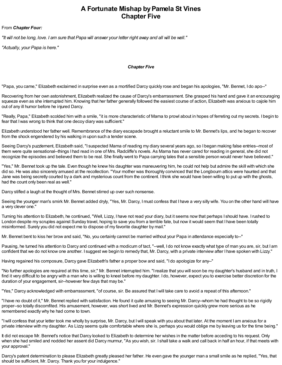## **A Fortunate Mishap byPamela St Vines Chapter Five**

From *Chapter Four:*

"It will not be long, love. I am sure that Papa will answer your letter right away and all will be well."

*"Actually, your Papa is here."*

#### *Chapter Five*

"Papa, you came," Elizabeth exclaimed in surprise even as a mortified Darcy quickly rose and began his apologies, "Mr. Bennet, I do apo--"

Recovering from her own astonishment, Elizabeth realized the cause of Darcy's embarrassment. She grasped his hand and gave it an encouraging squeeze even as she interrupted him. Knowing that her father generally followed the easiest course of action, Elizabeth was anxious to cajole him out of any ill humor before he injured Darcy.

"Really, Papa," Elizabeth scolded him with a smile, "it is more characteristic of Mama to prowl about in hopes of ferreting out my secrets. I begin to fear that Iwas wrong to think that one decoy diary was sufficient."

Elizabeth understood her father well. Remembrance of the diary escapade brought a reluctant smile to Mr. Bennet's lips, and he began to recover from the shock engendered by his walking in upon such a tender scene.

Seeing Darcy's puzzlement, Elizabeth said, "I suspected Mama of reading my diary several years ago, so I began making false entries--most of them were quite sensational--things I had read in one of Mrs. Radcliffe's novels. As Mama has never cared for reading in general, she did not recognize the episodes and believed them to be real. She finally went to Papa carrying tales that a sensible person would never have believed."

"Yes," Mr. Bennet took up the tale. Even though he knew his daughter was maneuvering him, he could not help but admire the skill with which she did so. He was also sincerely amused at the recollection. "Your mother was thoroughly convinced that the Longbourn attics were haunted and that Jane was being secretly courted by a dark and mysterious count from the continent. I think she would have been willing to put up with the ghosts, had the count only been real as well."

Darcy stifled a laugh at the thought of Mrs. Bennet stirred up over such nonsense.

Seeing the younger man's smirk Mr. Bennet added dryly, "Yes, Mr. Darcy, I must confess that I have a very silly wife. You on the other hand will have a very clever one."

Turning his attention to Elizabeth, he continued, "Well, Lizzy, I have not read your diary, but it seems now that perhaps I should have. Irushed to London despite my scruples against Sunday travel, hoping to save you from a terrible fate, but now it would seem that I have been totally misinformed. Surely you did not expect me to dispose of my favorite daughter by mail."

Mr. Bennet bent to kiss her brow and said, "No, you certainly cannot be married without your Papa in attendance especially to--"

Pausing, he turned his attention to Darcy and continued with a modicum of tact, "--well, I do not know exactly what type of man you are, sir, but I am confident that we do not know one another. I suggest we begin to remedy that, Mr. Darcy, with a private interview after I have spoken with Lizzy."

Having regained his composure, Darcy gave Elizabeth's father a proper bow and said, "I do apologize for any--"

"No further apologies are required at this time, sir," Mr. Bennet interrupted him. "Irealize that you will soon be my daughter's husband and in truth, I find it very difficult to be angry with a man who is willing to kneel before my daughter. I do, however, expect you to exercise better discretion for the duration of your engagement, sir--however few days that may be."

"Yes," Darcy acknowledged with embarrassment, "of course, sir. Be assured that Iwill take care to avoid a repeat of this afternoon."

"I have no doubt of it," Mr. Bennet replied with satisfaction. He found it quite amusing to seeing Mr. Darcy--whom he had thought to be so rigidly proper--so totally discomfited. His amusement, however, was short lived and Mr. Bennet's expression quickly grew more serious as he remembered exactly why he had come to town.

"Iwill confess that your letter took me wholly by surprise, Mr. Darcy, but Iwill speak with you about that later. At the moment I am anxious for a private interview with my daughter. As Lizzy seems quite comfortable where she is, perhaps you would oblige me by leaving us for the time being."

It did not escape Mr. Bennet's notice that Darcy looked to Elizabeth to determine her wishes in the matter before acceding to his request. Only when she had smiled and nodded her assent did Darcy murmur, "As you wish, sir. I shall take a walk and call back in half an hour, if that meets with your approval."

Darcy's patent determination to please Elizabeth greatly pleased her father. He even gave the younger man a small smile as he replied, "Yes, that should be sufficient, Mr. Darcy. Thank you for your indulgence."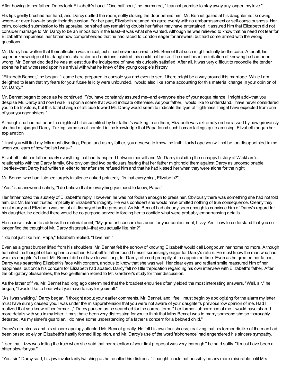After bowing to her father, Darcy took Elizabeth's hand. "One half hour," he murmured, "I cannot promise to stay away any longer, my love."

His lips gently brushed her hand, and Darcy quitted the room, softly closing the door behind him. Mr. Bennet gazed at his daughter not knowing where--or even how--to begin their discussion. For her part, Elizabeth returned his gaze evenly with no embarrassment or self-consciousness. Her calm, collected submission to his appraisal banished any remaining doubts her father may have entertained. It assured him that Elizabeth did not consider marriage to Mr. Darcy to be an imposition in the least--it was what she wanted. Although he was relieved to know that he need not fear for Elizabeth's happiness, her father now comprehended that he had raced to London eager for answers, but had come armed with the wrong questions.

Mr. Darcy had written that their affection was mutual, but it had never occurred to Mr. Bennet that such might actually be the case. After all, his superior knowledge of his daughter's character and opinions insisted this could not be so. If he must bear the irritation of knowing he had been wrong, Mr. Bennet decided he was at least due the indulgence of have his curiosity satisfied. After all, it was very difficult to reconcile the tender scene he had witnessed upon his arrival with what he knew of the young couple's history.

"Elizabeth Bennet," he began, "I came here prepared to console you and even to see if there might be a way around this marriage. While I am delighted to learn that my fears for your future felicity were unfounded, Iwould also like some accounting for this material change in your opinion of Mr. Darcy."

Mr. Bennet began to pace as he continued, "You have constantly assured me--and everyone else of your acquaintance, Imight add--that you despise Mr. Darcy and now Iwalk in upon a scene that would indicate otherwise. As your father, Iwould like to understand. I have never considered you to be frivolous, but this total change of attitude toward Mr. Darcy would seem to indicate the type of flightiness Imight have expected from one of your younger sisters."

Although she had not been the slightest bit discomfited by her father's walking in on them, Elizabeth was extremely embarrassed by how grievously she had misjudged Darcy. Taking some small comfort in the knowledge that Papa found such human failings quite amusing, Elizabeth began her explanation.

"I trust you will find my folly most diverting, Papa, and as my father, you deserve to know the truth. I only hope you will not be too disappointed in me when you learn of how foolish Iwas--"

Elizabeth told her father nearly everything that had transpired between herself and Mr. Darcy including the unhappy history of Wickham's relationship with the Darcy family. She only omitted two particulars fearing that her father might hold them against Darcy as unconscionable liberties--that Darcy had written a letter to her after she refused him and that he had kissed her when they were alone for the night.

Mr. Bennet who had listened largely in silence asked pointedly, "Is that everything, Elizabeth?"

"Yes," she answered calmly, "I do believe that is everything you need to know, Papa."

Her father noted the subtlety of Elizabeth's reply. However, he was not foolish enough to press her. Obviously there was something she had not told him, but Mr. Bennet trusted implicitly in Elizabeth's integrity. He was confident she would have omitted nothing of true consequence. Clearly they must marry and Elizabeth was not at all dismayed by the prospect. As Mr. Bennet had already seen enough to convince him of Darcy's regard for his daughter, he decided there would be no purpose served in forcing her to confide what were probably embarrassing details.

He choose instead to address the material point, "My greatest concern has been for your contentment, Lizzy. Am I now to understand that you no longer find the thought of Mr. Darcy distasteful--that you actually like him?"

"I do not just like him, Papa," Elizabeth replied. "I love him."

Even as a great burden lifted from his shoulders, Mr. Bennet felt the sorrow of knowing Elizabeth would call Longbourn her home no more. Although he hated the thought of losing her to another, Elizabeth's father found himself surprisingly eager for Darcy's return. He must know the man who had won his daughter's heart. Mr. Bennet did not have to wait long, for Darcy returned promptly at the appointed time. Even as he greeted her father, Darcy was searching Elizabeth's face with concern, anxious to know that she was well. Her clear eyes and radiant smile reassured him of her happiness, but once his concern for Elizabeth had abated, Darcy felt no little trepidation regarding his own interview with Elizabeth's father. After the obligatory pleasantries, the two gentlemen retired to Mr. Gardiner's study for their discussion.

As the father of five, Mr. Bennet had long ago determined that the broadest enquiries often yielded the most interesting answers. "Well, sir," he began, "Iwould like to hear what you have to say for yourself."

"As Iwas walking," Darcy began, "I thought about your earlier comments, Mr. Bennet, and I feel Imust begin by apologizing for the alarm my letter must have surely caused you. Iwas under the misapprehension that you were not aware of your daughter's previous low opinion of me. Had I realized that you knew of her former--," Darcy paused as he searched for the correct term, " her former--abhorrence of me, Iwould have shared more details with you in my letter. It must have been very distressing for you to think that Miss Bennet was to marry someone she so thoroughly detested. As my sister's guardian, I do have some understanding of a father's concern for a beloved child."

Darcy's directness and his sincere apology affected Mr. Bennet greatly. He felt his own foolishness, realizing that his former dislike of the man had been based solely on Elizabeth's hastily formed ill opinion, and Mr. Darcy's use of the word 'abhorrence' had engendered his sincere sympathy.

"I see that Lizzy was telling the truth when she said that her rejection of your first proposal was very thorough," he said softly. "It must have been a bitter blow for you."

"Yes, sir," Darcy said, his jaw involuntarily twitching as he recalled his distress. "I thought I could not possibly be any more miserable until Mrs.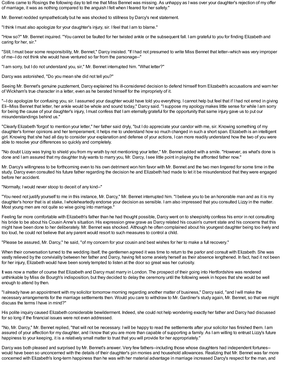Collins came to Rosings the following day to tell me that Miss Bennet was missing. As unhappy as Iwas over your daughter's rejection of my offer of marriage, it was as nothing compared to the anguish I felt when I feared for her safety."

Mr. Bennet nodded sympathetically but he was shocked to stillness by Darcy's next statement.

"I think Imust also apologize for your daughter's injury, sir. I feel that I am to blame."

"How so?" Mr. Bennet inquired. "You cannot be faulted for her twisted ankle or the subsequent fall. I am grateful to you for finding Elizabeth and caring for her, sir."

"Still, Imust bear some responsibility, Mr. Bennet," Darcy insisted. "If I had not presumed to write Miss Bennet that letter--which was very improper of me--I do not think she would have ventured so far from the parsonage--"

"I am sorry, but I do not understand you, sir," Mr. Bennet interrupted him. "What letter?"

Darcy was astonished, "Do you mean she did not tell you?"

Seeing Mr. Bennet's genuine puzzlement, Darcy explained his ill-considered decision to defend himself from Elizabeth's accusations and warn her of Wickham's true character in a letter, even as he berated himself for the impropriety of it.

"--I do apologize for confusing you, sir. I assumed your daughter would have told you everything. I cannot help but feel that if I had not erred in giving Eli--Miss Bennet that letter, her ankle would be whole and sound today," Darcy said. "I suppose my apology makes little sense for while I am sorry for being the cause of your daughter's injury, Imust confess that I am eternally grateful for the opportunity that same injury gave us to put our misunderstandings behind us."

"Clearly Elizabeth 'forgot' to mention your letter," her father said dryly, "but I do appreciate your candor with me, sir. Knowing something of my daughter's former opinions and her temperament, it helps me to understand how so much changed in such a short span. Elizabeth is an intelligent girl. Knowing that she had all day to consider your explanation and defense of your actions, I can more readily understand how the two of you were able to resolve your differences so quickly and completely.

"No doubt Lizzy was trying to shield you from my wrath by not mentioning your letter," Mr. Bennet added with a smile. "However, as what's done is done and I am assured that my daughter truly wants to marry you, Mr. Darcy, I see little point in playing the affronted father now."

Mr. Darcy's willingness to be forthcoming even to his own detriment won him favor with Mr. Bennet and the two men lingered for some time in the study. Darcy even consulted his future father regarding the decision he and Elizabeth had made to let it be misunderstood that they were engaged before her accident.

"Normally, Iwould never stoop to deceit of any kind--"

"You need not justify yourself to me in this instance, Mr. Darcy," Mr. Bennet interrupted him. "I believe you to be an honorable man and as it is my daughter's honor that is at stake, Iwholeheartedly endorse your decision as sensible. I am also impressed that you consulted Lizzy in the matter. Most young men are not quite so wise going into marriage."

Feeling far more comfortable with Elizabeth's father than he had thought possible, Darcy went on to sheepishly confess his error in not consulting his bride to be about his Cousin Anne's situation. His expression grew grave as Darcy related his cousin's current state and his concerns that this might have been done to her deliberately. Mr. Bennet was shocked. Although he often complained about his youngest daughter being too lively and too loud, he could not believe that any parent would resort to such measures to control a child.

"Please be assured, Mr. Darcy," he said, "of my concern for your cousin and best wishes for her to make a full recovery."

When their conversation turned to the wedding itself, the gentlemen agreed it was time to return to the parlor and consult with Elizabeth. She was vastly relieved by the conviviality between her father and Darcy, having felt some anxiety herself as their absence lengthened. In fact, had it not been for her injury, Elizabeth would have been sorely tempted to listen at the door so great was her curiosity.

It was now a matter of course that Elizabeth and Darcy must marry in London. The prospect of their going into Hertfordshire was rendered unthinkable by Miss de Bourgh's indisposition, but they decided to delay the ceremony until the following week in hopes that she would be well enough to attend by then.

"I already have an appointment with my solicitor tomorrow morning regarding another matter of business," Darcy said, "and Iwill make the necessary arrangements for the marriage settlements then. Would you care to withdraw to Mr. Gardiner's study again, Mr. Bennet, so that we might discuss the terms I have in mind?"

His polite inquiry caused Elizabeth considerable bewilderment. Indeed, she could not help wondering exactly her father and Darcy had discussed for so long if the financial issues were not even addressed.

"No, Mr. Darcy," Mr. Bennet replied, "that will not be necessary. Iwill be happy to read the settlements after your solicitor has finished them. I am assured of your affection for my daughter, and I know that you are more than capable of supporting a family. As I am willing to entrust Lizzy's future happiness to your keeping, it is a relatively small matter to trust that you will provide for her appropriately."

Darcy was both pleased and surprised by Mr. Bennet's answer. Very few fathers--including those whose daughters had independent fortunes- would have been so unconcerned with the details of their daughter's pin monies and household allowances. Realizing that Mr. Bennet was far more concerned with Elizabeth's long-term happiness than he was with her material advantage in marriage increased Darcy's respect for the man, and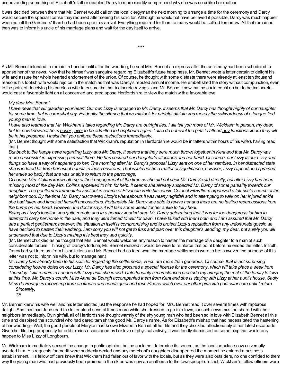understanding something of Elizabeth's father enabled Darcy to more readily comprehend why she was so unlike her mother.

It was decided between them that Mr. Bennet would call on the local clergyman the next morning to arrange a time for the ceremony and Darcy would secure the special license they required after seeing his solicitor. Although he would not have believed it possible, Darcy was much happier when he left the Gardiners' than he had been upon his arrival. Everything required for them to marry would be settled tomorrow. All that remained then was to inform his uncle of his marriage plans and wait for the day itself to arrive.

\*\*\*\*

As Mr. Bennet intended to remain in London until after the wedding, he sent Mrs. Bennet an express after the ceremony had been scheduled to apprise her of the news. Now that he himself was sanguine regarding Elizabeth's future happiness, Mr. Bennet wrote a letter certain to delight his wife and assure her whole hearted endorsement of the union. Of course, he thought with some distaste there were already at least ten thousand reasons his foolish wife would rejoice in the match as that was Darcy's reputed annual income. He embellished the story without compunction, even to the point of deceiving his careless wife to ensure that her indiscrete ravings--and Mr. Bennet knew that he could count on her to be indiscrete- would cast a favorable light on all concerned and predispose Hertfordshire to view the match with a favorable eye

### *My dear Mrs. Bennet,*

I have news that will gladden your heart. Our own Lizzy is engaged to Mr. Darcy. It seems that Mr. Darcy has thought highly of our daughter for some time, but is somewhat shy. Evidently the silence that we mistook for prideful distain was merely the awkwardness of a tongue-tied *young man in love.*

I have also learned that Mr. Wickham's tales regarding Mr. Darcy are outright lies. I will tell you more of Mr. Wickham in person, my dear, but for nowknowthat he is never, ever to be admitted to Longbourn again. I also do not want the girls to attend any functions where they will *be in his presence. I insist that you enforce these restrictions immediately.*

(Mr. Bennet thought with some satisfaction that Wickham's reputation in Hertfordshire would be in tatters within hours of his wife's having read that.)

But back to the happy news regarding Lizzy and Mr. Darcy, it seems that they were much thrown together in Kent and that Mr. Darcy was more successful in expressing himself there. He has secured our daughter's affections and her hand. Of course, our Lizzy is our Lizzy and things do have a way of happening to her. The morning after Mr. Darcy's proposal Lizzy went on one of her rambles. In her distracted state she wandered far from her usual haunts in those environs. That would not be a matter of significance; however, Lizzy slipped and sprained *her ankle so badly that she was unable to return to the parsonage.*

Of course Mrs. Collins knewnothing of their engagement at the time so she did not seek Mr. Darcy's aid directly, but after Lizzy had been missing most of the day Mrs. Collins appealed to him for help. It seems she already suspected Mr. Darcy of some partiality towards our daughter. The gentleman immediately set out in search of Elizabeth while his cousin Colonel Fitzwilliam organized a full-scale search of the neighborhood. By the time Mr. Darcy discovered Lizzy's whereabouts it was nearly nightfall and in attempting to walk on her injured ankle she had fallen and knocked herself unconscious. Fortunately Mr. Darcy was able to revive her and there are no lasting repercussions from the bump on her head. However, the doctor says it will take some weeks for her ankle to fully heal.

Being as Lizzy's location was quite remote and in a heavily wooded area Mr. Darcy determined that it was far too dangerous for him to attempt to carry her home in the dark, and they were forced to wait for dawn. I have talked with them both and I am assured that Mr. Darcy was a perfect gentleman; however, the situation in itself is compromising and to protect Lizzy's reputation from any unfortunate gossip we have decided to hasten their wedding. I am sorry you will not get to fuss and plan over this daughter's wedding, my dear, but surely you will *understand that due to Lizzy's mishap it is best they wed quickly.*

(Mr. Bennet chuckled as he thought that Mrs. Bennet would welcome any reason to hasten the marriage of a daughter to a man of such considerable fortune. Thinking of Darcy's fortune, Mr. Bennet realized it would be wise to reinforce that point before he ended the letter. In truth, Darcy had yet to return from his solicitor's and Mr. Bennet had no idea what the marriage settlements were to be; however, the purpose of this letter was not to inform his wife, but to manage her.)

Mr. Darcy has already been to his solicitor regarding the settlements, which are more than generous. Of course, that is not surprising considering howhe dotes on our Lizzy. Mr. Darcy has also procured a special license for the ceremony, which will take place a week from Thursday. I will remain in London with Lizzy until she is wed. Unfortunately circumstances preclude my bringing the rest of the family to town at this time. Mr. Darcy's cousin Miss Anne de Bourgh accompanied them from Kent and she is staying with Lizzy at her aunt's house. Sadly Miss de Bourgh is recovering from an illness and needs quiet and rest. Please watch over our other girls with particular care until I return. *Sincerely,*

*TB*

Mr. Bennet knew his wife well and his letter elicited just the response he had hoped for. Mrs. Bennet read it over several times with rapturous delight. She then had Jane read the letter aloud several times more while she dressed to go into town, for such news must be shared with their neighbors immediately. By nightfall, all of Hertfordshire thought warmly of the shy young man who had been so in love with Elizabeth Bennet all this time and despised the scoundrel who had dared tarnish the good Mr. Darcy's name. As for Elizabeth's mishap that had necessitated the hastening of her wedding-- Well, the good people of Meryton had known Elizabeth Bennet all her life and they chuckled affectionately at her latest escapade. Given her life long propensity for odd injuries occasioned by her love of physical activity, it was fondly dismissed as something that would only happen to Miss Lizzy of Longbourn.

Mr. Wickham immediately sensed the change in public opinion, but he could not determine its source, as the local populace now universally avoided him. His requests for credit were suddenly denied and any merchant's daughters disappeared the moment he entered a business establishment. His fellow officers knew that Wickham had fallen out of favor with the locals, but as they were also outsiders, no one confided to them why the young man who had previously been praised to the skies was now an anathema to the townspeople. In fact, Wickham's fellow officers were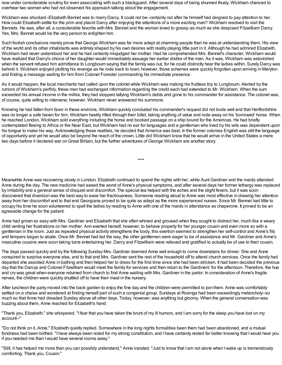now under considerable scrutiny for even associating with such a blackguard. After several days of being shunned thusly, Wickham chanced to overhear two women who had not observed his approach talking about the engagement.

Wickham was shocked--Elizabeth Bennet was to marry Darcy. It could not be--certainly not after he himself had deigned to pay attention to her. How could Elizabeth settle for the prim and placid Darcy after enjoying the attentions of a more exciting man? Wickham resolved to visit the Bennets. He was, after all, a considerable favorite with Mrs. Bennet and the woman loved to gossip as much as she despised Fitzwilliam Darcy. Yes, Mrs. Bennet would be the very person to enlighten him.

Such foolish conclusions merely prove that George Wickham was far more adept at charming people than he was at understanding them. His view of the world and its other inhabitants was entirely shaped by his own desires with reality playing little part in it. Although he had admired Elizabeth, Wickham had never understood her and he had certainly misjudged her mother. Had he comprehended Mrs. Bennet's character, Wickham would have realized that Darcy's choice of her daughter would immediately assuage her earlier dislike of the man. As it was, Wickham was astonished when the servant refused him admittance to Longbourn saying that the family was out, for he could distinctly hear the ladies within. Surely Darcy was behind it. Wickham enjoyed plotting his revenge as he rode back to town; however, those schemes were quickly forgotten upon arriving in Meryton and finding a message waiting for him from Colonel Forester commanding his immediate presence.

As it would happen, the local merchants had called upon the colonel while Wickham was making his fruitless trip to Longbourn. Alerted by the rumors of Wickham's perfidy, these men had exchanged information regarding the credit each had extended to Mr. Wickham. When the sum exceeded his annual income in the militia, they had stopped tallying Wickham's debts and gone to his commander for assistance. The colonel was, of course, quite willing to intervene; however, Wickham never answered his summons.

Knowing he had fallen from favor in these environs, Wickham quickly concluded his commander's request did not bode well and that Hertfordshire was no longer a safe haven for him. Wickham hastily rifled through their billet, taking anything of value and rode away on his 'borrowed' horse. When he reached London, Wickham sold everything including the horse and booked passage on a ship bound for the Americas. He had briefly contemplated fleeing to Africa or the Near East, but Wickham had no ear for languages and a gentleman who lived by his wits was dependent upon his tongue to make his way. Acknowledging those realities, he decided that America was best. In the former colonies English was still the language of opportunity and yet he would also be beyond the reach of the crown. Little did Wickham know that he would arrive in the United States a mere two days before it declared war on Great Britain, but the further adventures of George Wickham are another story.

\*\*\*\*

Meanwhile Anne was recovering slowly in London. Elizabeth continued to spend the nights with her, while Aunt Gardiner and the maids attended Anne during the day. The new medicine had eased the worst of Anne's physical symptoms, and after several days her former lethargy was replaced by irritability and a general sense of disquiet and discomfort. The special tea helped with the aches and the slight fevers, but it was soon discovered that diversion was the best way to ease her fractiousness. Someone reading aloud to Anne was most effective in drawing her attention away from her discomfort and to that end Georgiana proved to be quite as adept as the more experienced nurses. Since Mr. Bennet had little to occupy his time he soon volunteered to spell the ladies by reading to Anne with one of the maids in attendance as chaperone. It proved to be an agreeable change for the patient.

Anne had grown so easy with Mrs. Gardiner and Elizabeth that she often whined and groused when they sought to distract her, much like a weary child venting her frustrations on her mother. Ann exerted herself, however, to behave properly for her younger cousin and even more so with a gentleman in the room. Just as repeated physical activity strengthens the body, this exertion seemed to strengthen her self-control and Anne's fits and tempers began to abate. Once Mr. Bennet had led the way, the other gentlemen were eager to be of assistance and Mr. Gardiner and Anne's masculine cousins were soon taking turns entertaining her. Darcy and Fitzwilliam were relieved and gratified to actually be of use to their cousin.

The days passed quickly and by the following Sunday Mrs. Gardiner deemed Anne well enough to come downstairs for dinner. She and Anne conspired to surprise everyone else, and to that end Mrs. Gardiner sent the rest of the household off to attend church services. Once the family had departed she assisted Anne in bathing and then helped her to dress for the first time since she had been stricken. It had been decided the previous day that the Darcys and Colonel Fitzwilliam would meet the family for services and then return to the Gardiners' for the afternoon. Therefore, the hue and cry was great when everyone returned from church to find Anne waiting with Mrs. Gardiner in the parlor. In consideration of Anne's fragile nerves, the children were quickly shuttled off to have their meal in the nursery.

After luncheon the party moved into the back garden to enjoy the fine day and the children were permitted to join them. Anne was comfortably settled on a chaise and wondered at finding herself part of such a congenial group. Sundays at Rosings had been exceedingly melancholy--so much so that Anne had dreaded Sunday above all other days. Today, however, was anything but gloomy. When the general conversation was buzzing about them, Anne reached for Elizabeth's hand.

"Thank you, Elizabeth," she whispered. "I fear that you have taken the brunt of my ill humors, and I am sorry for the sleep you have lost on my account--"

"Do not think on it, Anne," Elizabeth quietly replied. Somewhere in the long nights formalities been them had been abandoned, and a mutual fondness had been birthed. "I have always been noted for my strong constitution, and I have certainly rested far better knowing that Iwould hear you if you needed me than Iwould have several rooms away."

"Still, it has helped me more than you can possibly understand," Anne insisted. "Just to know that I am not alone when Iwake up is tremendously comforting. Thank you, Cousin."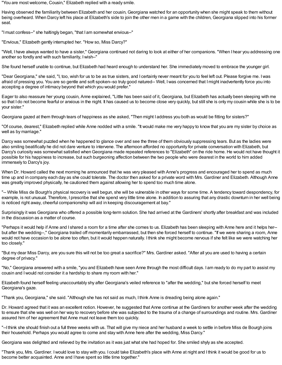"You are most welcome, Cousin," Elizabeth replied with a ready smile.

Having observed the familiarity between Elizabeth and her cousin, Georgiana watched for an opportunity when she might speak to them without being overheard. When Darcy left his place at Elizabeth's side to join the other men in a game with the children, Georgiana slipped into his former seat.

"Imust confess--" she haltingly began, "that I am somewhat envious--"

"Envious," Elizabeth gently interrupted her. "How so, Miss Darcy?"

"Well, I have always wanted to have a sister," Georgiana continued not daring to look at either of her companions. "When I hear you addressing one another so fondly and with such familiarity, Iwish--"

She found herself unable to continue, but Elizabeth had heard enough to understand her. She immediately moved to embrace the younger girl.

"Dear Georgiana," she said, "I, too, wish for us to be as true sisters, and I certainly never meant for you to feel left out. Please forgive me. Iwas afraid of pressing you. You are so gentle and soft spoken--so truly good natured-- Well, Iwas concerned that Imight inadvertently force you into accepting a degree of intimacy beyond that which you would prefer."

Eager to also reassure her young cousin, Anne explained, "Little has been said of it, Georgiana, but Elizabeth has actually been sleeping with me so that I do not become fearful or anxious in the night. It has caused us to become close very quickly, but still she is only my cousin while she is to be your sister."

Georgiana gazed at them through tears of happiness as she asked, "Then might I address you both as would be fitting for sisters?"

"Of course, dearest," Elizabeth replied while Anne nodded with a smile. "It would make me very happy to know that you are my sister by choice as well as by marriage."

Darcy was somewhat puzzled when he happened to glance over and see the three of them obviously suppressing tears. But as the ladies were also smiling beatifically he did not dare venture to intervene. The afternoon afforded no opportunity for private conversation with Elizabeth, but Darcy's curiosity was somewhat satisfied when Georgiana made repeated references to "Elizabeth" on the ride home. He would not have thought it possible for his happiness to increase, but such burgeoning affection between the two people who were dearest in the world to him added immensely to Darcy's joy.

When Dr. Howard called the next morning he announced that he was very pleased with Anne's progress and encouraged her to spend as much time up and in company each day as she could tolerate. The doctor then asked for a private word with Mrs. Gardiner and Elizabeth. Although Anne was greatly improved physically, he cautioned them against allowing her to spend too much time alone.

"-- While Miss de Bourgh's physical recovery is well begun, she will be vulnerable in other ways for some time. A tendency toward despondency, for example, is not unusual. Therefore, I prescribe that she spend very little time alone. In addition to assuring that any drastic downturn in her well being is noticed right away, cheerful companionship will aid in keeping discouragement at bay."

Surprisingly it was Georgiana who offered a possible long-term solution. She had arrived at the Gardiners' shortly after breakfast and was included in the discussion as a matter of course.

"Perhaps it would help if Anne and I shared a room for a time after she comes to us. Elizabeth has been sleeping with Anne here and it helps her- but after the wedding--," Georgiana trailed off momentarily embarrassed, but then she forced herself to continue. "If we were sharing a room, Anne would not have occasion to be alone too often, but it would happen naturally. I think she might become nervous if she felt like we were watching her too closely."

"But my dear Miss Darcy, are you sure this will not be too great a sacrifice?" Mrs. Gardiner asked. "After all you are used to having a certain degree of privacy."

"No," Georgiana answered with a smile, "you and Elizabeth have seen Anne through the most difficult days. I am ready to do my part to assist my cousin and Iwould not consider it a hardship to share my room with her."

Elizabeth found herself feeling unaccountably shy after Georgiana's veiled reference to "after the wedding," but she forced herself to meet Georgiana's gaze.

"Thank you, Georgiana," she said. "Although she has not said as much, I think Anne is dreading being alone again."

Dr. Howard agreed that it was an excellent notion. However, he suggested that Anne continue at the Gardiners for another week after the wedding to ensure that she was well on her way to recovery before she was subjected to the trauma of a change of surroundings and routine. Mrs. Gardiner assured him of her agreement that Anne must not leave them too quickly.

"--I think she should finish out a full three weeks with us. That will give my niece and her husband a week to settle in before Miss de Bourgh joins their household. Perhaps you would agree to come and stay with Anne here after the wedding, Miss Darcy."

Georgiana was delighted and relieved by the invitation as it was just what she had hoped for. She smiled shyly as she accepted.

"Thank you, Mrs. Gardiner. Iwould love to stay with you. I could take Elizabeth's place with Anne at night and I think it would be good for us to become better acquainted. Anne and I have spent so little time together."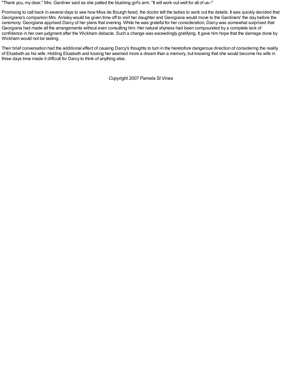"Thank you, my dear," Mrs. Gardiner said as she patted the blushing girl's arm. "It will work out well for all of us--"

Promising to call back in several days to see how Miss de Bourgh fared, the doctor left the ladies to work out the details. It was quickly decided that Georgiana's companion Mrs. Ainsley would be given time off to visit her daughter and Georgiana would move to the Gardiners' the day before the ceremony. Georgiana apprised Darcy of her plans that evening. While he was grateful for her consideration, Darcy was somewhat surprised that Georgiana had made all the arrangements without even consulting him. Her natural shyness had been compounded by a complete lack of confidence in her own judgment after the Wickham debacle. Such a change was exceedingly gratifying. It gave him hope that the damage done by Wickham would not be lasting.

Their brief conversation had the additional effect of causing Darcy's thoughts to turn in the heretofore dangerous direction of considering the reality of Elizabeth as his wife. Holding Elizabeth and kissing her seemed more a dream than a memory, but knowing that she would become his wife in three days time made it difficult for Darcy to think of anything else.

*Copyright 2007 Pamela St Vines*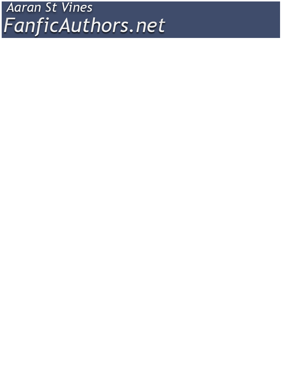# **Aaran St Vines** FanficAuthors.net

- 
- 
- 
- -
	-
	-
	-
- -
- -
	-
	-
- 
- 
- 
- 
- 
- 
- 
- 
- 
- - -
- 
- 
- -
	-
- 
- -
- 
- 
-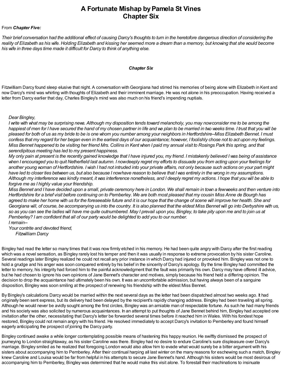## **A Fortunate Mishap byPamela St Vines Chapter Six**

#### From *Chapter Five:*

Their brief conversation had the additional effect of causing Darcy's thoughts to turn in the heretofore dangerous direction of considering the reality of Elizabeth as his wife. Holding Elizabeth and kissing her seemed more a dream than a memory, but knowing that she would become *his wife in three days time made it difficult for Darcy to think of anything else.*

#### *Chapter Six*

Fitzwilliam Darcy found sleep elusive that night. A conversation with Georgiana had stirred his memories of being alone with Elizabeth in Kent and now Darcy's mind was whirling with thoughts of Elizabeth and their imminent marriage. He was not alone in his preoccupation. Having received a letter from Darcy earlier that day, Charles Bingley's mind was also much on his friend's impending nuptials.

*Dear Bingley,*

I write with what may be surprising news. Although my disposition tends toward melancholy, you may nowconsider me to be among the happiest of men for I have secured the hand of my chosen partner in life and we plan to be married in two weeks time. I trust that you will be pleased for both of us as my bride to be is one whom you number among your neighbors in Hertfordshire-Miss Elizabeth Bennet. I must confess that my regard for her began even in the earliest days of our acquaintance; however, I foolishly chose not to act upon my feelings. Miss Bennet happened to be visiting her friend Mrs. Collins in Kent when I paid my annual visit to Rosings Park this spring, and that *serendipitous meeting has led to my present happiness.*

My only pain at present is the recently gained knowledge that I have injured you, my friend. I mistakenly believed I was being of assistance when I encouraged you to quit Netherfield last autumn. I nowdeeply regret my efforts to dissuade you from acting upon your feelings for another young woman of Hertfordshire. I wish I had not intruded into your private affairs, not only because such actions on your part might have led to closer ties between us, but also because I nowhave reason to believe that I was entirely in the wrong in my assumptions. Although my interference was kindly meant, it was interference nonetheless, and I deeply regret my actions. I hope that you will be able to *forgive me as I highly value your friendship.*

Miss Bennet and I have decided upon a small, private ceremony here in London. We shall remain in town a fewweeks and then venture into Hertfordshire for a brief visit before continuing on to Pemberley. We are both most pleased that my cousin Miss Anne de Bourgh has agreed to make her home with us for the foreseeable future and it is our hope that the change of scene will improve her health. She and Georgiana will, of course, be accompanying us into the country. It is also planned that the eldest Miss Bennet will go into Derbyshire with us, so as you can see the ladies will have me quite outnumbered. May I prevail upon you, Bingley, to take pity upon me and to join us at *Pemberley? I am confident that all of our party would be delighted to add you to our number. I remain--*

*Your contrite and devoted friend, Fitzwilliam Darcy*

Bingley had read the letter so many times that it was now firmly etched in his memory. He had been quite angry with Darcy after the first reading which was a novel sensation, as Bingley rarely lost his temper and then it was usually in response to extreme provocation by his sister Caroline. Several readings later Bingley realized he could not recall any prior instance in which Darcy had injured or provoked him. Bingley was not one to hold a grudge and his anger was soon conquered entirely by his belief in the sincerity of Darcy's apology. By the time Bingley had committed the letter to memory, his integrity had forced him to the painful acknowledgment that the fault was primarily his own. Darcy may have offered ill advice, but he had chosen to ignore his own opinions of Jane Bennet's character and motives, simply because his friend held a differing opinion. The decision to drop the acquaintance had ultimately been his own. It was an uncomfortable admission, but having always been of a sanguine disposition, Bingley was soon smiling at the prospect of renewing his friendship with the eldest Miss Bennet.

By Bingley's calculations Darcy would be married within the next several days as the letter had been dispatched almost two weeks ago. It had originally been sent express, but its delivery had been delayed by the recipient's rapidly changing address. Bingley had been traveling all spring. Although he would never be avidly sought among the first circles, Bingley was an amiable man of respectable fortune. As such he had many friends and his society was also solicited by numerous acquaintances. In an attempt to put thoughts of Jane Bennet behind him, Bingley had accepted one invitation after the other, necessitating that Darcy's letter be forwarded several times before it reached him in Wales. With his fondest hope restored, Bingley could not remain angry with his friend. He resolved immediately to accept Darcy's invitation to Pemberley and found himself eagerly anticipating the prospect of joining the Darcy party.

Bingley continued awake a while longer contemplating possible means of hastening this happy reunion. He swiftly dismissed the prospect of journeying to London straightaway, as his sister Caroline was there. Bingley had no desire to endure Caroline's sure displeasure over Darcy's marriage. Bingley smiled as he realized that foregoing London would also allow him to evade what would surely be a bitter argument with his sisters about accompanying him to Pemberley. After their continual harping all last winter on the many reasons for eschewing such a match, Bingley knew Caroline and Louisa would be far from helpful in his attempts to secure Jane Bennet's hand. Although his sisters would be most desirous of accompanying him to Pemberley, Bingley was determined that he would make this visit alone. To forestall their machinations to insinuate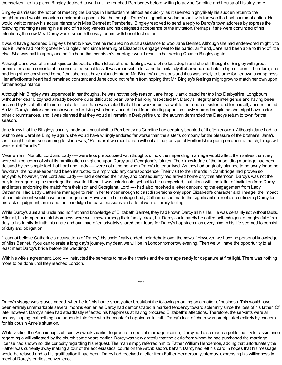themselves into his plans, Bingley decided to wait until he reached Pemberley before writing to advise Caroline and Louisa of his stay there.

Bingley dismissed the notion of meeting the Darcys in Hertfordshire almost as quickly, as it seemed highly likely his sudden return to the neighborhood would occasion considerable gossip. No, he thought, Darcy's suggestion veiled as an invitation was the best course of action. He would wait to renew his acquaintance with Miss Bennet at Pemberley. Bingley resolved to send a reply to Darcy's town address by express the following morning assuring his friend of his forgiveness and his delighted acceptance of the invitation. Perhaps if she were convinced of his intentions, the new Mrs. Darcy would smooth the way for him with her eldest sister.

It would have gladdened Bingley's heart to know that he required no such assistance to woo Jane Bennet. Although she had endeavored mightily to hide it, Jane had not forgotten Mr. Bingley, and since learning of Elizabeth's engagement to his particular friend, Jane had been able to think of little else. She was half in agony and half in hope that her sister's marriage would result in her seeing Charles Bingley again.

Although Jane was of a much quieter disposition than Elizabeth, her feelings were of no less depth and she still thought of Bingley with great admiration and a considerable sense of personal loss. It was impossible for Jane to think truly ill of anyone she held in high esteem. Therefore, she had long since convinced herself that she must have misunderstood Mr. Bingley's attentions and thus was solely to blame for her own unhappiness. Her affectionate heart had remained constant and Jane could not refrain from hoping that Mr. Bingley's feelings might grow to match her own upon further acquaintance.

Although Mr. Bingley was uppermost in her thoughts, he was not the only reason Jane happily anticipated her trip into Derbyshire. Longbourn without her dear Lizzy had already become quite difficult to bear. Jane had long respected Mr. Darcy's integrity and intelligence and having been assured by Elizabeth of their mutual affection, Jane was elated that all had worked out so well for her dearest sister--and for herself, Jane reflected. As Mr. Darcy's sister and cousin were to be living with them, Jane did not fear intruding upon the newly married couple as she might have under other circumstances, and it was planned that they would all remain in Derbyshire until the autumn demanded the Darcys return to town for the season.

Jane knew that the Bingleys usually made an annual visit to Pemberley as Caroline had certainly boasted of it often enough. Although Jane had no wish to see Caroline Bingley again, she would have willingly endured far worse than the sister's company for the pleasure of the brother's. Jane's last thought before succumbing to sleep was, "Perhaps if we meet again without all the gossips of Hertfordshire going on about a match, things will work out differently."

Meanwhile in Norfolk, Lord and Lady ---- were less preoccupied with thoughts of how the impending marriage would affect themselves than they were with concerns of what its ramifications might be upon Darcy and Georgiana's futures. Their knowledge of the impending marriage had been delayed by the simple fact that Lord and Lady ---- were not at home when Darcy's letter arrived. As they had originally planned to be away for some few days, the housekeeper had been instructed to simply hold any correspondence. Their visit to their friends in Cambridge had proven so enjoyable, however, that Lord and Lady ---- had extended their stay, and consequently had arrived home only that afternoon. Darcy's was not the only letter regarding the marriage that awaited them. It was unfortunate, yet not to be unexpected, that along with the letter of invitation from Darcy and letters endorsing the match from their son and Georgiana, Lord ---- had also received a letter denouncing the engagement from Lady Catherine. Had Lady Catherine managed to rein in her temper enough to cast dispersions only upon Elizabeth's character and lineage, the impact of her indictment would have been far greater. However, in her outrage Lady Catherine had made the significant error of also criticizing Darcy for his lack of judgment, an inclination to indulge his base passions and a total want of family feeling.

While Darcy's aunt and uncle had no first hand knowledge of Elizabeth Bennet, they had known Darcy all his life. He was certainly not without faults. After all, his temper and stubbornness were well known among their family circle, but Darcy could hardly be called self-indulgent or neglectful of his duty to his family. In truth, his uncle and aunt had often privately shared their fears for Darcy's happiness, as everything in his life seemed to consist of duty and obligation.

"I cannot believe Catherine's accusations of Darcy," his uncle finally ended their debate over the news. "However, we have no personal knowledge of Miss Bennet. If you can tolerate a long day's journey, my dear, we will be in London tomorrow evening. Then we will have the opportunity to at least meet Darcy's bride before the wedding."

With his wife's agreement, Lord ---- instructed the servants to have their trunks and the carriage ready for departure at first light. There was nothing more to be done until they reached London.

\*\*\*\*

Darcy's visage was grave, indeed, when he left his home shortly after breakfast the following morning on a matter of business. This would have been entirely unremarkable several months earlier, as Darcy had demonstrated a marked tendency toward solemnity since the loss of his father. Of late, however, Darcy's mien had steadfastly reflected his happiness at having procured Elizabeth's affections. Therefore, the servants were all uneasy, hoping that nothing had arisen to interfere with the master's happiness. In truth, Darcy's lack of cheer was precipitated entirely by concern for his cousin Anne's situation.

While visiting the Archbishop's offices two weeks earlier to procure a special marriage license, Darcy had also made a polite inquiry for assistance regarding a will validated by the church some years earlier. Darcy was very grateful that the cleric from whom he had purchased the marriage license had shown no idle curiosity regarding his request. The man simply referred him to Father William Henderson, adding that unfortunately the Father was currently away making a tour of the ecclesiastical courts on the Archbishop's behalf. Darcy had left his card in hopes that his message would be relayed and to his gratification it had been. Darcy had received a letter from Father Henderson yesterday, expressing his willingness to meet at Darcy's earliest convenience.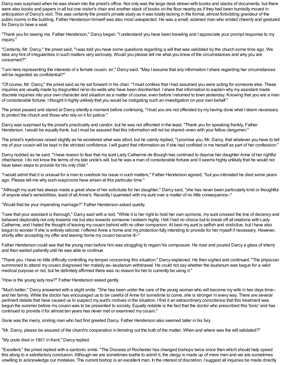Darcy was surprised when he was shown into the priest's office. Not only was the large desk strewn with books and stacks of documents, but there were also books and papers in all but one visitor's chair and another stack of books on the floor nearby as if they had been hurriedly moved in anticipation of Darcy's visit. This was certainly the priest's private study as it was totally lacking in the formal, almost forbidding grandeur of the public rooms in the building. Father Henderson himself was also most unexpected. He was a small, wizened man who smiled cheerily and gestured for Darcy to have a seat.

"Thank you for seeing me, Father Henderson," Darcy began. "I understand you have been traveling and I appreciate your prompt response to my inquiry."

"Certainly, Mr. Darcy," the priest said, "Iwas told you have some questions regarding a will that was validated by the church some time ago. We take any hint of irregularities in such matters very seriously. Would you please tell me what you know of the circumstances and why you are concerned?"

"I am here representing the interests of a female cousin, sir," Darcy said. "May I assume that any information I share regarding her circumstances will be regarded as confidential?"

"Of course, Mr. Darcy," the priest said as he sat forward in his chair. "Imust confess that I had assumed you were acting for someone else. These inquiries are usually made by disgruntled ne'er-do-wells who have been disinherited. I share that information to explain why my assistant made discrete inquiries into your own character and situation as a matter of course, even before Ireturned to town yesterday. Knowing that you are a man of considerable fortune, I thought it highly unlikely that you would be instigating such an investigation on your own behalf."

The priest paused and stared at Darcy silently a moment before continuing, "I trust you are not offended by my having done what I deem necessary to protect the church and those who rely on it for justice."

Darcy was surprised by the priest's practicality and candor, but he was not affronted in the least. "Thank you for speaking frankly, Father Henderson. Iwould be equally frank, but Imust be assured that this information will not be shared--even with your fellow clergymen."

The priest's eyebrows raised slightly as he wondered what was afoot, but he calmly replied, "I promise you, Mr. Darcy, that whatever you have to tell me of your cousin will be kept in the strictest confidence. Iwill guard that information as if she had confided in me herself as part of her confession."

Darcy nodded as he said, "I have reason to fear that my aunt Lady Catherine de Bourgh has contrived to deprive her daughter Anne of her rightful inheritance. I do not know the terms of my late uncle's will, but he was a man of considerable fortune and it seems highly unlikely that he would not have taken steps to provide for his only child."

"Iwould admit that it is unusual for a man to overlook his issue in such matters," Father Henderson agreed, "but you intimated he died some years ago. Please tell me why such suspicions have arisen at this particular time."

"Although my aunt has always made a great show of her solicitude for her daughter," Darcy said, "she has never been particularly kind or thoughtful of anyone else's sensibilities, least of all Anne's. Recently I quarreled with my aunt over a matter of no little consequence--"

"Would that be your impending marriage?" Father Henderson asked quietly.

"I see that your assistant is thorough," Darcy said with a nod. "While it is her right to hold her own opinions, my aunt crossed the line of decency and behaved deplorably not only towards me but also towards someone I esteem highly. I felt I had no choice but to break off all relations with Lady Catherine, and I hated the thought of leaving my cousin behind with no other companion. At best my aunt is selfish and vindictive, but I have also begun to wonder if she is entirely rational. I offered Anne a home and my protection fully intending to provide for her myself if necessary. However, shortly after accepting my offer and leaving home my cousin became ill--"

Father Henderson could see that the young man before him was struggling to regain his composure. He rose and poured Darcy a glass of sherry and then waited patiently until he was able to continue.

"Thank you. I have no little difficulty controlling my temper concerning this situation," Darcy explained. He then sighed and continued, "The physician summoned to attend my cousin diagnosed her malady as--laudanum withdrawal. He could not say whether the laudanum was begun for a valid medical purpose or not, but he definitely affirmed there was no reason for her to currently be using it."

"How is the young lady now?" Father Henderson asked gently.

"Much better," Darcy answered with a slight smile. "She has been under the care of the young woman who will become my wife in two days time- and her family. While the doctor has encouraged us to be careful of Anne for sometime to come, she is stronger in every way. There are several pertinent details that have caused us to suspect my aunt's motives in the situation. I find it an extraordinary coincidence that this treatment was begun the summer before my cousin was to be presented to society. Equally notable is the fact that the doctor who prescribed this 'tonic' and has continued to provide it for almost ten years has never met or examined my cousin."

Gone was the merry, smiling man who had first greeted Darcy. Father Henderson also seemed taller in his fury.

"Mr. Darcy, please be assured of the church's cooperation in ferreting out the truth of the matter. When and where was the will validated?"

"My uncle died in 1801 in Kent," Darcy replied.

"Excellent," the priest replied with a sardonic smile. "The Diocese of Rochester has changed bishops twice since then which should help speed this along to a satisfactory conclusion. Although we are sometimes loathe to admit it, the clergy is made up of mere men and we are sometimes unwilling to acknowledge our mistakes. The current bishop is an excellent man. In the interest of discretion, I suggest all inquiries be made directly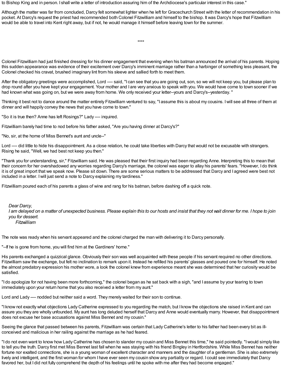to Bishop King and in person. I shall write a letter of introduction assuring him of the Archdiocese's particular interest in this case."

Although the matter was far from concluded, Darcy felt somewhat lighter when he left for Gracechurch Street with the letter of recommendation in his pocket. At Darcy's request the priest had recommended both Colonel Fitzwilliam and himself to the bishop. It was Darcy's hope that Fitzwilliam would be able to travel into Kent right away, but if not, he would manage it himself before leaving town for the summer.

\*\*\*\*

Colonel Fitzwilliam had just finished dressing for his dinner engagement that evening when his batman announced the arrival of his parents. Hoping this sudden appearance was evidence of their excitement over Darcy's imminent marriage rather than a harbinger of something less pleasant, the Colonel checked his cravat, brushed imaginary lint from his sleeve and sallied forth to meet them.

After the obligatory greetings were accomplished, Lord ---- said, "I can see that you are going out, son, so we will not keep you, but please plan to drop round after you have kept your engagement. Your mother and I are very anxious to speak with you. We would have come to town sooner if we had known what was going on, but we were away from home. We only received your letter--yours and Darcy's--yesterday. "

Thinking it best not to dance around the matter entirely Fitzwilliam ventured to say, "I assume this is about my cousins. Iwill see all three of them at dinner and will happily convey the news that you have come to town."

"So it is true then? Anne has left Rosings?" Lady ---- inquired.

Fitzwilliam barely had time to nod before his father asked, "Are you having dinner at Darcy's?"

"No, sir, at the home of Miss Bennet's aunt and uncle--"

Lord ---- did little to hide his disappointment. As a close relation, he could take liberties with Darcy that would not be excusable with strangers. Rising he said, "Well, we had best not keep you then."

"Thank you for understanding, sir," Fitzwilliam said. He was pleased that their first inquiry had been regarding Anne. Interpreting this to mean that their concern for her overshadowed any worries regarding Darcy's marriage, the colonel was eager to allay his parents' fears. "However, I do think it is of great import that we speak now. Please sit down. There are some serious matters to be addressed that Darcy and I agreed were best not included in a letter. Iwill just send a note to Darcy explaining my tardiness."

Fitzwilliam poured each of his parents a glass of wine and rang for his batman, before dashing off a quick note.

*Dear Darcy,* I am delayed on a matter of unexpected business. Please explain this to our hosts and insist that they not wait dinner for me. I hope to join *you for dessert. Fitzwilliam*

The note was ready when his servant appeared and the colonel charged the man with delivering it to Darcy personally.

"--If he is gone from home, you will find him at the Gardiners' home."

His parents exchanged a quizzical glance. Obviously their son was well acquainted with these people if his servant required no other directions. Fitzwilliam saw the exchange, but felt no inclination to remark upon it. Instead he refilled his parents' glasses and poured one for himself. He noted the almost predatory expression his mother wore, a look the colonel knew from experience meant she was determined that her curiosity would be satisfied.

"I do apologize for not having been more forthcoming," the colonel began as he sat back with a sigh, "and I assume by your tearing to town immediately upon your return home that you also received a letter from my aunt."

Lord and Lady ---- nodded but neither said a word. They merely waited for their son to continue.

"I know not exactly what objections Lady Catherine expressed to you regarding the match, but I know the objections she raised in Kent and can assure you they are wholly unfounded. My aunt has long deluded herself that Darcy and Anne would eventually marry. However, that disappointment does not excuse her base accusations against Miss Bennet and my cousin."

Seeing the glance that passed between his parents, Fitzwilliam was certain that Lady Catherine's letter to his father had been every bit as illconceived and malicious in her railing against the marriage as he had feared.

"I do not even want to know how Lady Catherine has chosen to slander my cousin and Miss Bennet this time," he said pointedly. "Iwould simply like to tell you the truth. Darcy first met Miss Bennet last fall when he was staying with his friend Bingley in Hertfordshire. While Miss Bennet has neither fortune nor exalted connections, she is a young woman of excellent character and manners and the daughter of a gentleman. She is also extremely lively and intelligent, and the first woman for whom I have ever seen my cousin show any partiality or regard. I could see immediately that Darcy favored her, but I did not fully comprehend the depth of his feelings until he spoke with me after they had become engaged."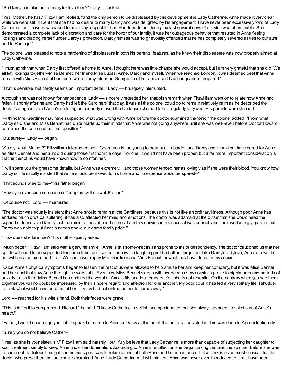"So Darcy has elected to marry for love then?" Lady ---- asked.

"Yes, Mother, he has," Fitzwilliam replied, "and the only person to be displeased by this development is Lady Catherine. Anne made it very clear while we were still in Kent that she had no desire to marry Darcy and was delighted by his engagement. I have never been excessively fond of Lady Catherine, but I have now ceased to have any respect for her. Her deportment during the last several days of our visit was abominable. She demonstrated a complete lack of discretion and care for the honor of our family. It was her outrageous behavior that resulted in Anne fleeing Rosings and placing herself under Darcy's protection. Darcy himself was so grievously offended that he has completely severed all ties to our aunt and to Rosings."

The colonel was pleased to note a hardening of displeasure in both his parents' features, as he knew their displeasure was now properly aimed at Lady Catherine.

"Imust admit that when Darcy first offered a home to Anne, I thought there was little chance she would accept, but I am very grateful that she did. We all left Rosings together--Miss Bennet, her friend Miss Lucas, Anne, Darcy and myself. When we reached London, it was deemed best that Anne remain with Miss Bennet at her aunt's while Darcy informed Georgiana of her arrival and had her quarters prepared."

"That is sensible, but hardly seems an important detail," Lady ---- brusquely interrupted.

Although she was not known for her patience, Lady ---- sincerely regretted her snappish remark when Fitzwilliam went on to relate how Anne had fallen ill shortly after he and Darcy had left the Gardiners' that day. It was all the colonel could do to remain relatively calm as he described the doctor's diagnosis and Anne's suffering as her body craved the laudanum she had taken regularly for years. His parents were stunned.

"--I think Mrs. Gardiner may have suspected what was wrong with Anne before the doctor examined the tonic," the colonel added. "From what Darcy said she and Miss Bennet had quite made up their minds that Anne was not going anywhere until she was well--even before Doctor Howard confirmed the source of her indisposition."

"But surely--" Lady ---- began.

"Surely, what, Mother?" Fitzwilliam interrupted her. "Georgiana is too young to bear such a burden and Darcy and I could not have cared for Anne as Miss Bennet and her aunt did during those first horrible days. For one, it would not have been proper, but a far more important consideration is that neither of us would have known how to comfort her.

"Iwill spare you the gruesome details, but Anne was extremely ill and those women tended her as lovingly as if she were their blood. You know how Darcy is. He initially insisted that Anne should be moved to his home and no expense would be spared--"

"That sounds wise to me--" his father began.

"Have you ever seen someone suffer opium withdrawal, Father?"

"Of course not," Lord ---- murmured.

"The doctor was equally insistent that Anne should remain at the Gardiners' because this is not like an ordinary illness. Although poor Anne has endured much physical suffering, it has also affected her mind and emotions. The doctor was adamant at the outset that she would need the support of friends and family, not the ministrations of hired nurses. I am fully convinced his counsel was correct, and I am everlastingly grateful that Darcy was able to put Anne's needs above our damn family pride."

"How does she fare now?" his mother quietly asked.

"Much better," Fitzwilliam said with a genuine smile. "Anne is still somewhat frail and prone to fits of despondency. The doctor cautioned us that her spirits will need to be supported for some time, but I see in her now the laughing girl I had all but forgotten. Like Darcy's ladylove, Anne is a wit, but her wit has a bit more barb to it. We can never repay Mrs. Gardiner and Miss Bennet for what they have done for my cousin.

"Once Anne's physical symptoms began to lessen, the rest of us were allowed to help amuse her and keep her company, but it was Miss Bennet and her aunt that saw Anne through the worst of it. Even now Miss Bennet sleeps with her because my cousin is prone to nightmares and periods of anxiety. I also think Miss Bennet has endured the worst of Anne's fits and foul tempers. Yet, she is not resentful. On the contrary when you see them together you will no doubt be impressed by their sincere regard and affection for one another. My poor cousin has led a very solitary life. I shudder to think what would have become of her if Darcy had not entreated her to come away."

Lord ---- reached for his wife's hand. Both their faces were grave.

"This is difficult to comprehend, Richard," he said. "I know Catherine is selfish and opinionated, but she always seemed so solicitous of Anne's health."

"Father, Iwould encourage you not to speak her name to Anne or Darcy at this point. It is entirely possible that this was done to Anne intentionally--"

"Surely you do not believe Cather--"

"Irealize she is your sister, sir," Fitzwilliam said harshly, "but I fully believe that Lady Catherine is more than capable of subjecting her daughter to such treatment simply to keep Anne under her domination. According to Anne's recollection she began taking the tonic the summer before she was to come out--fortuitous timing if her mother's goal was to retain control of both Anne and her inheritance. It also strikes us as most unusual that the doctor who prescribed the tonic never examined Anne. Lady Catherine met with him, but Anne was never even introduced to him. I have been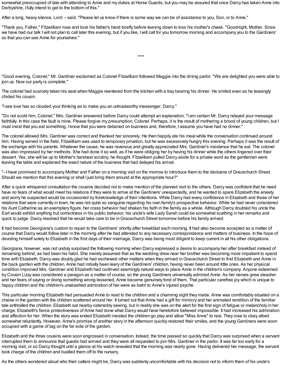somewhat preoccupied of late with attending to Anne and my duties at Horse Guards, but you may be assured that once Darcy has taken Anne into Derbyshire, I fully intend to get to the bottom of this."

After a long, heavy silence, Lord -- said, "Please let us know if there is some way we can be of assistance to you, Son, or to Anne."

"Thank you, Father," Fitzwilliam rose and took his father's hand briefly before leaning down to kiss his mother's cheek. "Goodnight, Mother. Since we have had our talk Iwill not plan to call later this evening, but if you like, Iwill call for you tomorrow morning and accompany you to the Gardiners' so that you can see Anne for yourselves."

"Good evening, Colonel," Mr. Gardiner exclaimed as Colonel Fitzwilliam followed Maggie into the dining parlor. "We are delighted you were able to join us. Now our party is complete."

\*\*\*\*

The colonel had scarcely taken his seat when Maggie reentered from the kitchen with a tray bearing his dinner. He smiled even as he teasingly chided his cousin.

"I see love has so clouded your thinking as to make you an untrustworthy messenger, Darcy."

"Do not scold him, Colonel," Mrs. Gardiner answered before Darcy could attempt an explanation. "I am certain Mr. Darcy relayed your message faithfully. In this case the fault is mine. Please forgive my presumption, Colonel. Perhaps, it is the result of mothering a brood of young children, but I must insist that you eat something. I know that you were detained on business and, therefore, I assume you have had no dinner."

The colonel allowed Mrs. Gardiner was correct and thanked her sincerely. He then happily ate his meal while the conversation continued around him. Having served in the field, Fitzwilliam was used to temporary privation, but he was excessively hungry this evening. Perhaps it was the result of the exchange with his parents. Whatever the cause, he was ravenous and greatly appreciated Mrs. Gardiner's insistence that he eat. The colonel was also impressed by her methods. She had done it so well, as if he were obliging her by having his dinner while the others lingered over their dessert. Yes, she will be up to Mother's harshest scrutiny, he thought. Fitzwilliam pulled Darcy aside for a private word as the gentlemen were leaving the table and explained the exact nature of the business that had delayed his arrival.

"--I have promised to accompany Mother and Father on a morning visit on the morrow to introduce them to the denizens of Gracechurch Street. Should we mention that this evening or shall I just bring them around at the appropriate hour?"

After a quick whispered consultation the cousins decided not to make mention of the planned visit to the others. Darcy was confident that he need have no fears of what would meet his relations if they were to arrive at the Gardiners' unexpectedly, and he wanted to spare Elizabeth the anxiety and worry he suspected would be occasioned by foreknowledge of their intentions. While Darcy had every confidence in Elizabeth and those of her relations that were currently in town, he was not quite so sanguine regarding his own family's prospective behavior. While he had never considered his Aunt Catherine as an exemplary figure, her crass behavior had shaken his faith in the family as a whole. Although Darcy doubted his uncle the Earl would exhibit anything but correctness in his public behavior, his uncle's wife Lady Sarah could be somewhat scathing in her remarks and quick to judge. Darcy resolved that he would take care to be in Gracechurch Street tomorrow before his family arrived.

It had become Georgiana's custom to repair to the Gardiners' shortly after breakfast each morning. It had also become accepted as a matter of course that Darcy would follow later in the morning after he had attended to any necessary correspondence and matters of business. In the hope of devoting himself solely to Elizabeth in the first days of their marriage, Darcy was being most diligent to keep current in all his other obligations.

Georgiana, however, was not unduly surprised the following morning when Darcy expressed a desire to accompany her after breakfast instead of remaining behind, as had been his habit. She merely assumed that as the wedding drew near her brother was becoming more impatient to spend time with Elizabeth. Darcy was doubly glad he had eschewed other matters when they arrived inGracechurch Street to find Elizabeth and Anne in the back garden with the children. Anne had initially been leery of the Gardiners' children, having never been around little ones. As her physical condition improved Mrs. Gardiner and Elizabeth had contrived seemingly natural ways to place Anne in the children's company. Anyone esteemed by Cousin Lizzy was considered a paragon as a matter of course, so the young Gardiners universally admired Anne. As her nerves grew steadier and her fears of saying or doing something wrong lessened, Anne became genuinely fond of them. That particular carefree joy which is unique to happy children and the children's unabashed admiration of her were as balm to Anne's injured psyche.

This particular morning Elizabeth had persuaded Anne to read to the children and a charming sight they made. Anne was comfortably situated on a chaise in the garden with the children scattered around her. It turned out that Anne had a gift for mimicry and her animated rendition of the familiar tale enthralled the children. Elizabeth sat nearby ostensibly sewing, but in reality she was on the alert for the first sign of fatigue or melancholy in her charge. Elizabeth's fierce protectiveness of Anne had done what Darcy would have heretofore believed impossible. It had increased his admiration and affection for her. When the story was ended Elizabeth insisted the children go play and allow "Miss Anne" to rest. They rose to obey albeit somewhat reluctantly. However, Anne's promise of another story in the afternoon quickly restored their smiles, and the young Gardiners were soon occupied with a game of tag on the far side of the garden.

Elizabeth and the three cousins were soon engrossed in conversation. Indeed, the time passed so quickly that Darcy was surprised when a servant interrupted them to announce that guests had arrived and they were all requested to join Mrs. Gardiner in the parlor. It was far too early for a morning visit, or so Darcy thought until a glance at his watch revealed that the morning was nearly gone. Having delivered her message, the servant took charge of the children and bustled them off to the nursery.

As the others wondered aloud who their callers might be, Darcy was suddenly uncomfortable with his decision not to inform them of his uncle's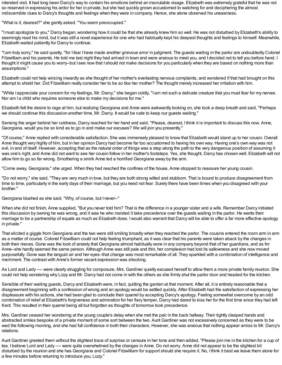intended visit. It had long been Darcy's way to contain his emotions behind an inscrutable visage. Elizabeth was extremely grateful that he was not so reserved in expressing his ardor for her in private, but she had quickly grown accustomed to watching for and deciphering the almost indiscernible clues to Darcy's thoughts and feelings when they were in company. Hence, she alone observed his uneasiness.

"What is it, dearest?" she gently asked. "You seem preoccupied."

"Imust apologize to you," Darcy began, wondering how it could be that she already knew him so well. He was not disturbed by Elizabeth's ability to seemingly read his mind, but it was still a novel experience for one who had habitually kept his deepest thoughts and feelings to himself. Meanwhile, Elizabeth waited patiently for Darcy to continue.

"I am truly sorry," he said quietly, "for I fear I have made another grievous error in judgment. The guests waiting in the parlor are undoubtedly Colonel Fitzwilliam and his parents. He told me last night they had arrived in town and were anxious to meet you, and I decided not to tell you before hand. I thought it might cause you to worry--but I see now that I should not make decisions for you particularly when they are based on nothing more than assumptions."

Elizabeth could not help wincing inwardly as she thought of her mother's everlasting nervous complaints, and wondered if that had brought on this attempt to shield her. Did Fitzwilliam really consider her to be so like her mother? The thought merely increased her irritation with him.

"While I appreciate your concern for my feelings, Mr. Darcy," she began coldly, "I am not such a delicate creature that you must fear for my nerves. Nor am I a child who requires someone else to make my decisions for me."

Elizabeth felt the desire to rage at him, but realizing Georgiana and Anne were awkwardly looking on, she took a deep breath and said, "Perhaps we should continue this discussion another time, Mr. Darcy. It would be rude to keep our guests waiting."

Sensing the anger behind her coldness, Darcy reached for her hand and said, "Please, dearest, I think it is important to discuss this now. Anne, Georgiana, would you be so kind as to go in and make our excuses? We will join you presently."

"Of course," Anne replied with considerable satisfaction. She was immensely pleased to know that Elizabeth would stand up to her cousin. Overall Anne thought very highly of him, but in her opinion Darcy had become far too accustomed to having his own way. Having one's own way was not evil, in and of itself. However, accepting that as the natural order of things was a step along the path to the very dangerous position of assuming it was one's right, and Anne did not want to see her cousin follow in her mother's footsteps. Yes, she thought, Darcy has chosen well. Elizabeth will not allow him to go so far wrong. Smothering a smirk Anne led a horrified Georgiana away by the arm.

"Come away, Georgiana," she urged. When they had reached the confines of the house, Anne stopped to reassure her young cousin.

"Do not worry," she said. "They are very much in love, but they are both strong willed and stubborn. That is bound to produce disagreement from time to time, particularly in the early days of their marriage, but you need not fear. Surely there have been times when you disagreed with your brother."

Georgiana blushed as she said, "Why, of course, but I never--"

When she did not finish, Anne supplied, "But you never told him? That is the difference in a younger sister and a wife. Remember Darcy initiated this discussion by owning he was wrong, and it was he who insisted it take precedence over the guests waiting in the parlor. He wants their marriage to be a partnership of equals as much as Elizabeth does. Iwould also warrant that Darcy will be able to offer a far more effective apology in private."

That elicited a giggle from Georgiana and the two were still smiling broadly when they reached the parlor. The cousins entered the room arm in arm as a matter of course. Colonel Fitzwilliam could not help feeling triumphant, as it was clear that his parents were taken aback by the changes in both their nieces. Gone was the look of anxiety that Georgiana almost habitually wore in any company beyond that of her guardians, and as for Anne--she hardly seemed the same person. Although Anne was still pale and thin, her complexion had lost its sallowness and she now moved purposefully. Gone was the languid air and her eyes--that change was most remarkable of all. They sparkled with a combination of intelligence and merriment. The contrast with Anne's former vacant expression was shocking.

As Lord and Lady ---- were clearly struggling for composure, Mrs. Gardiner quietly excused herself to allow them a more private family reunion. She could not help wondering why Lizzy and Mr. Darcy had not come in with the others as she firmly shut the parlor door and headed for the kitchen.

Sensible of their waiting guests, Darcy and Elizabeth were, in fact, quitting the garden at that moment. After all, it is entirely reasonable that a disagreement beginning with a confession of wrong and an apology would be settled quickly. After Elizabeth had the satisfaction of expressing her displeasure with his actions, she had been glad to conclude their quarrel by accepting Darcy's apology. Feeling somewhat overcome by an odd combination of relief at Elizabeth's forgiveness and admiration for her fiery temper, Darcy had dared to kiss her for the first time since they had left Kent. This resulted in their quarrel being all but forgotten as thoughts of tomorrow took precedence.

Mrs. Gardiner ceased her wondering at the young couple's delay when she met the pair in the back hallway. Their tightly clasped hands and abstracted smiles bespoke of a private moment of some sort between the two. Aunt Gardiner was not excessively concerned as they were to be wed the following morning, and she had full confidence in both their characters. However, she was anxious that nothing appear amiss to Mr. Darcy's relations.

Aunt Gardiner greeted them without the slightest trace of surprise or censure in her tone and then added, "Please join me in the kitchen for a cup of tea. I believe Lord and Lady ---- were quite overwhelmed by the changes in Anne. Do not worry. Anne did not appear to be the slightest bit disturbed by the reunion and she has Georgiana and Colonel Fitzwilliam for support should she require it. No, I think it best we leave them alone for a few minutes before returning to introduce you, Lizzy."